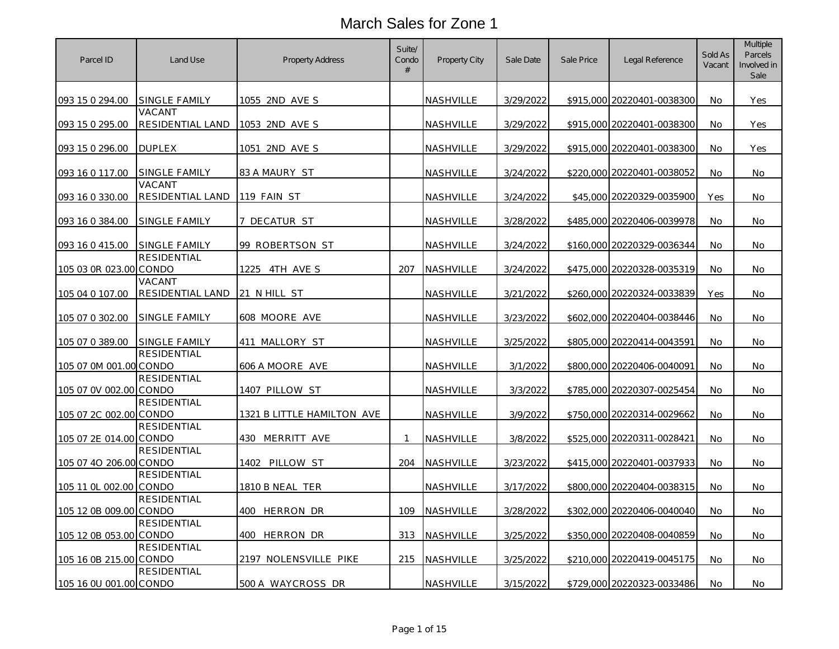| Parcel ID              | Land Use                    | <b>Property Address</b>    | Suite/<br>Condo<br>$\#$ | Property City    | Sale Date | Sale Price | Legal Reference            | Sold As<br>Vacant | Multiple<br>Parcels<br>Involved in<br>Sale |
|------------------------|-----------------------------|----------------------------|-------------------------|------------------|-----------|------------|----------------------------|-------------------|--------------------------------------------|
| 093 15 0 294.00        | SINGLE FAMILY               | 1055 2ND AVE S             |                         | NASHVILLE        | 3/29/2022 |            | \$915,000 20220401-0038300 | No                | Yes                                        |
| 093 15 0 295.00        | VACANT<br>RESIDENTIAL LAND  | 1053 2ND AVE S             |                         | NASHVILLE        | 3/29/2022 |            | \$915,000 20220401-0038300 | No                | Yes                                        |
| 093 15 0 296.00        | <b>DUPLEX</b>               | 1051 2ND AVE S             |                         | NASHVILLE        | 3/29/2022 |            | \$915,000 20220401-0038300 | No                | Yes                                        |
| 093 16 0 117.00        | SINGLE FAMILY               | 83 A MAURY ST              |                         | NASHVILLE        | 3/24/2022 |            | \$220,000 20220401-0038052 | No                | No                                         |
| 093 16 0 330.00        | VACANT<br>RESIDENTIAL LAND  | 119 FAIN ST                |                         | <b>NASHVILLE</b> | 3/24/2022 |            | \$45,000 20220329-0035900  | Yes               | No                                         |
| 093 16 0 384.00        | SINGLE FAMILY               | 7 DECATUR ST               |                         | NASHVILLE        | 3/28/2022 |            | \$485,000 20220406-0039978 | No                | No                                         |
| 093 16 0 415.00        | <b>SINGLE FAMILY</b>        | 99 ROBERTSON ST            |                         | NASHVILLE        | 3/24/2022 |            | \$160,000 20220329-0036344 | No                | No                                         |
| 105 03 0R 023.00 CONDO | <b>RESIDENTIAL</b>          | 1225 4TH AVE S             | 207                     | <b>NASHVILLE</b> | 3/24/2022 |            | \$475,000 20220328-0035319 | No                | No                                         |
| 105 04 0 107.00        | VACANT<br>RESIDENTIAL LAND  | 21 N HILL ST               |                         | <b>NASHVILLE</b> | 3/21/2022 |            | \$260,000 20220324-0033839 | Yes               | No                                         |
| 105 07 0 302.00        | SINGLE FAMILY               | 608 MOORE AVE              |                         | NASHVILLE        | 3/23/2022 |            | \$602,000 20220404-0038446 | No                | No                                         |
| 105 07 0 389.00        | SINGLE FAMILY               | 411 MALLORY ST             |                         | <b>NASHVILLE</b> | 3/25/2022 |            | \$805,000 20220414-0043591 | No.               | No                                         |
| 105 07 0M 001.00       | <b>RESIDENTIAL</b><br>CONDO | 606 A MOORE AVE            |                         | NASHVILLE        | 3/1/2022  |            | \$800,000 20220406-0040091 | No                | No                                         |
| 105 07 0V 002.00 CONDO | RESIDENTIAL                 | 1407 PILLOW ST             |                         | <b>NASHVILLE</b> | 3/3/2022  |            | \$785,000 20220307-0025454 | No                | No                                         |
| 105 07 2C 002.00 CONDO | <b>RESIDENTIAL</b>          | 1321 B LITTLE HAMILTON AVE |                         | NASHVILLE        | 3/9/2022  |            | \$750,000 20220314-0029662 | No                | No                                         |
| 105 07 2E 014.00 CONDO | <b>RESIDENTIAL</b>          | 430 MERRITT AVE            | 1                       | NASHVILLE        | 3/8/2022  |            | \$525,000 20220311-0028421 | No                | No.                                        |
| 105 07 40 206.00 CONDO | <b>RESIDENTIAL</b>          | 1402 PILLOW ST             | 204                     | NASHVILLE        | 3/23/2022 |            | \$415,000 20220401-0037933 | No                | No                                         |
| 105 11 0L 002.00 CONDO | <b>RESIDENTIAL</b>          | 1810 B NEAL TER            |                         | NASHVILLE        | 3/17/2022 |            | \$800,000 20220404-0038315 | No                | No                                         |
| 105 12 0B 009.00 CONDO | <b>RESIDENTIAL</b>          | 400 HERRON DR              | 109                     | NASHVILLE        | 3/28/2022 |            | \$302,000 20220406-0040040 | No                | No                                         |
| 105 12 0B 053.00 CONDO | <b>RESIDENTIAL</b>          | 400 HERRON DR              | 313                     | <b>NASHVILLE</b> | 3/25/2022 |            | \$350,000 20220408-0040859 | No                | No                                         |
| 105 16 0B 215.00 CONDO | <b>RESIDENTIAL</b>          | 2197 NOLENSVILLE PIKE      | 215                     | NASHVILLE        | 3/25/2022 |            | \$210,000 20220419-0045175 | No                | No                                         |
| 105 16 0U 001.00 CONDO | <b>RESIDENTIAL</b>          | 500 A WAYCROSS DR          |                         | NASHVILLE        | 3/15/2022 |            | \$729,000 20220323-0033486 | No                | No                                         |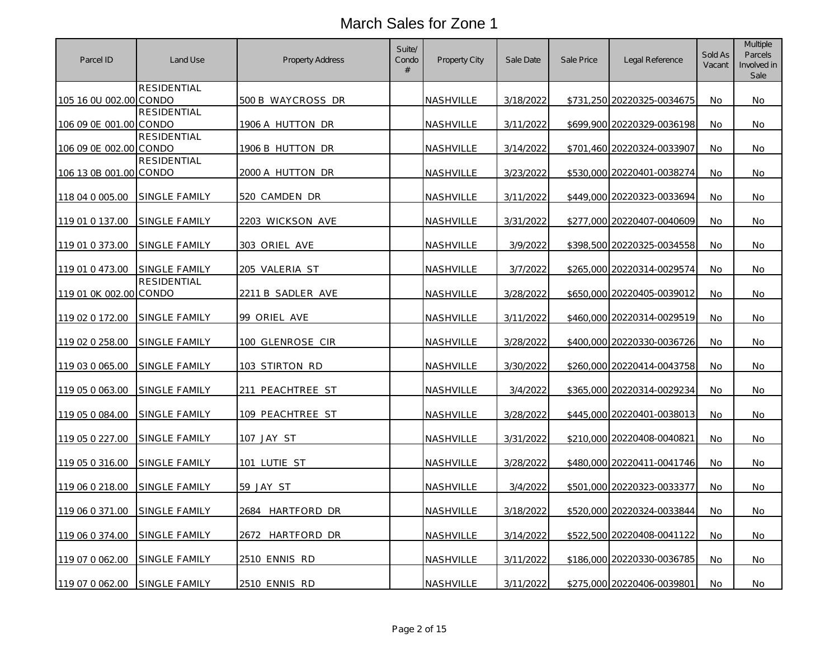| Parcel ID              | Land Use             | <b>Property Address</b> | Suite/<br>Condo<br>$\#$ | Property City    | Sale Date | Sale Price | Legal Reference            | Sold As<br>Vacant | Multiple<br>Parcels<br>Involved in<br>Sale |
|------------------------|----------------------|-------------------------|-------------------------|------------------|-----------|------------|----------------------------|-------------------|--------------------------------------------|
| 105 16 0U 002.00 CONDO | <b>RESIDENTIAL</b>   | 500 B WAYCROSS DR       |                         | <b>NASHVILLE</b> | 3/18/2022 |            | \$731,250 20220325-0034675 | No                | No                                         |
|                        | <b>RESIDENTIAL</b>   |                         |                         |                  |           |            |                            |                   |                                            |
| 106 09 0E 001.00 CONDO | <b>RESIDENTIAL</b>   | 1906 A HUTTON DR        |                         | <b>NASHVILLE</b> | 3/11/2022 |            | \$699.900 20220329-0036198 | No                | No                                         |
| 106 09 0E 002.00 CONDO |                      | 1906 B HUTTON DR        |                         | NASHVILLE        | 3/14/2022 |            | \$701,460 20220324-0033907 | No                | No                                         |
| 106 13 0B 001.00 CONDO | <b>RESIDENTIAL</b>   | 2000 A HUTTON DR        |                         | <b>NASHVILLE</b> | 3/23/2022 |            | \$530,000 20220401-0038274 | <b>No</b>         | No.                                        |
| 118 04 0 005.00        | SINGLE FAMILY        | 520 CAMDEN DR           |                         | <b>NASHVILLE</b> | 3/11/2022 |            | \$449,000 20220323-0033694 | No                | No                                         |
| 119 01 0 137.00        | <b>SINGLE FAMILY</b> | 2203 WICKSON AVE        |                         | <b>NASHVILLE</b> | 3/31/2022 |            | \$277,000 20220407-0040609 | No                | No                                         |
| 119 01 0 373.00        | SINGLE FAMILY        | 303 ORIEL AVE           |                         | NASHVILLE        | 3/9/2022  |            | \$398,500 20220325-0034558 | No                | No                                         |
| 119 01 0 473.00        | <b>SINGLE FAMILY</b> | 205 VALERIA ST          |                         | NASHVILLE        | 3/7/2022  |            | \$265,000 20220314-0029574 | No                | No                                         |
| 119 01 0K 002.00 CONDO | <b>RESIDENTIAL</b>   | 2211 B SADLER AVE       |                         | <b>NASHVILLE</b> | 3/28/2022 |            | \$650,000 20220405-0039012 | No                | No                                         |
| 119 02 0 172.00        | SINGLE FAMILY        | 99 ORIEL AVE            |                         | NASHVILLE        | 3/11/2022 |            | \$460,000 20220314-0029519 | No                | No                                         |
| 119 02 0 258.00        | SINGLE FAMILY        | 100 GLENROSE CIR        |                         | NASHVILLE        | 3/28/2022 |            | \$400,000 20220330-0036726 | No                | No                                         |
| 119 03 0 065.00        | <u>SINGLE FAMILY</u> | <u>103 STIRTON RD</u>   |                         | <b>NASHVILLE</b> | 3/30/2022 |            | \$260,000 20220414-0043758 | No                | No                                         |
| 119 05 0 063.00        | SINGLE FAMILY        | 211 PEACHTREE ST        |                         | NASHVILLE        | 3/4/2022  |            | \$365,000 20220314-0029234 | No                | No                                         |
| 119 05 0 084.00        | <b>SINGLE FAMILY</b> | 109 PEACHTREE ST        |                         | <b>NASHVILLE</b> | 3/28/2022 |            | \$445,000 20220401-0038013 | No                | No                                         |
| 119 05 0 227.00        | SINGLE FAMILY        | 107 JAY_ST              |                         | NASHVILLE        | 3/31/2022 |            | \$210,000 20220408-0040821 | <b>No</b>         | No                                         |
| 119 05 0 316.00        | SINGLE FAMILY        | 101 LUTIE ST            |                         | <b>NASHVILLE</b> | 3/28/2022 |            | \$480,000 20220411-0041746 | No.               | No.                                        |
| 119 06 0 218.00        | SINGLE FAMILY        | 59 JAY ST               |                         | NASHVILLE        | 3/4/2022  |            | \$501,000 20220323-0033377 | No                | No                                         |
| 119 06 0 371.00        | SINGLE FAMILY        | hartford dr<br>2684     |                         | <b>NASHVILLE</b> | 3/18/2022 |            | \$520,000 20220324-0033844 | No.               | No.                                        |
| 119 06 0 374.00        | SINGLE FAMILY        | 2672 HARTFORD DR        |                         | NASHVILLE        | 3/14/2022 |            | \$522,500 20220408-0041122 | No                | No                                         |
| 119 07 0 062.00        | SINGLE FAMILY        | 2510 ENNIS RD           |                         | <b>NASHVILLE</b> | 3/11/2022 |            | \$186,000 20220330-0036785 | No.               | No                                         |
| 119 07 0 062.00        | SINGLE FAMILY        | 2510 ENNIS RD           |                         | <b>NASHVILLE</b> | 3/11/2022 |            | \$275,000 20220406-0039801 | No                | No                                         |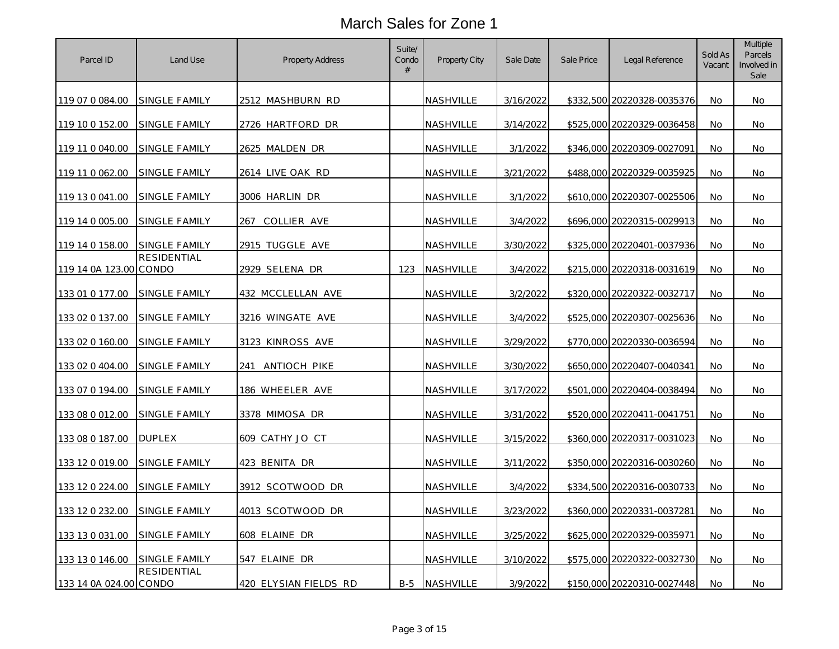| Parcel ID              | Land Use             | <b>Property Address</b> | Suite/<br>Condo<br># | Property City    | Sale Date | Sale Price | Legal Reference            | Sold As<br>Vacant | Multiple<br>Parcels<br>Involved in<br>Sale |
|------------------------|----------------------|-------------------------|----------------------|------------------|-----------|------------|----------------------------|-------------------|--------------------------------------------|
| 119 07 0 084.00        | <b>SINGLE FAMILY</b> | 2512 MASHBURN RD        |                      | NASHVILLE        | 3/16/2022 |            | \$332,500 20220328-0035376 | No                | No                                         |
| 119 10 0 152.00        | SINGLE FAMILY        | 2726 HARTFORD DR        |                      | NASHVILLE        | 3/14/2022 |            | \$525,000 20220329-0036458 | No                | No.                                        |
| 119 11 0 040.00        | <b>SINGLE FAMILY</b> | 2625 MALDEN DR          |                      | NASHVILLE        | 3/1/2022  |            | \$346,000 20220309-0027091 | No                | No                                         |
| 119 11 0 062.00        | SINGLE FAMILY        | 2614 LIVE OAK RD        |                      | NASHVILLE        | 3/21/2022 |            | \$488,000 20220329-0035925 | No                | No.                                        |
| 119 13 0 041.00        | <b>SINGLE FAMILY</b> | 3006 HARLIN DR          |                      | NASHVILLE        | 3/1/2022  |            | \$610,000 20220307-0025506 | No                | No                                         |
| 119 14 0 005.00        | <b>SINGLE FAMILY</b> | 267<br>COLLIER AVE      |                      | NASHVILLE        | 3/4/2022  |            | \$696,000 20220315-0029913 | No                | No.                                        |
| 119 14 0 158.00        | SINGLE FAMILY        | 2915 TUGGLE AVE         |                      | <u>NASHVILLE</u> | 3/30/2022 |            | \$325,000 20220401-0037936 | No.               | No.                                        |
| 119 14 0A 123.00 CONDO | RESIDENTIAL          | 2929 SELENA DR          | 123                  | NASHVILLE        | 3/4/2022  |            | \$215,000 20220318-0031619 | <b>No</b>         | No.                                        |
| 133 01 0 177.00        | SINGLE FAMILY        | 432 MCCLELLAN AVE       |                      | NASHVILLE        | 3/2/2022  |            | \$320,000 20220322-0032717 | No                | No                                         |
| 133 02 0 137.00        | <b>SINGLE FAMILY</b> | 3216 WINGATE AVE        |                      | NASHVILLE        | 3/4/2022  |            | \$525,000 20220307-0025636 | No                | No.                                        |
| 133 02 0 160.00        | <b>SINGLE FAMILY</b> | 3123 KINROSS AVE        |                      | NASHVILLE        | 3/29/2022 |            | \$770,000 20220330-0036594 | No                | No                                         |
| 133 02 0 404.00        | SINGLE FAMILY        | 241 ANTIOCH PIKE        |                      | NASHVILLE        | 3/30/2022 |            | \$650,000 20220407-0040341 | No                | No                                         |
| 133 07 0 194.00        | <b>SINGLE FAMILY</b> | 186 WHEELER AVE         |                      | NASHVILLE        | 3/17/2022 |            | \$501,000 20220404-0038494 | No                | No.                                        |
| 133 08 0 012.00        | <b>SINGLE FAMILY</b> | 3378 MIMOSA DR          |                      | NASHVILLE        | 3/31/2022 |            | \$520,000 20220411-0041751 | No                | No.                                        |
| 133 08 0 187.00        | <b>DUPLEX</b>        | 609 CATHY JO CT         |                      | NASHVILLE        | 3/15/2022 |            | \$360,000 20220317-0031023 | No                | No                                         |
| 133 12 0 019.00        | SINGLE FAMILY        | 423 BENITA DR           |                      | NASHVILLE        | 3/11/2022 |            | \$350,000 20220316-0030260 | No                | No                                         |
| 133 12 0 224.00        | SINGLE FAMILY        | 3912 SCOTWOOD DR        |                      | NASHVILLE        | 3/4/2022  |            | \$334,500 20220316-0030733 | No                | No.                                        |
| 133 12 0 232.00        | SINGLE FAMILY        | 4013 SCOTWOOD DR        |                      | <u>NASHVILLE</u> | 3/23/2022 |            | \$360,000 20220331-0037281 | No                | No                                         |
| 133 13 0 031.00        | SINGLE FAMILY        | 608 ELAINE DR           |                      | NASHVILLE        | 3/25/2022 |            | \$625,000 20220329-0035971 | <b>No</b>         | No.                                        |
| 133 13 0 146.00        | <b>SINGLE FAMILY</b> | 547 ELAINE DR           |                      | NASHVILLE        | 3/10/2022 |            | \$575,000 20220322-0032730 | No                | No                                         |
| 133 14 0A 024.00 CONDO | RESIDENTIAL          | 420 ELYSIAN FIELDS RD   | $B-5$                | NASHVILLE        | 3/9/2022  |            | \$150,000 20220310-0027448 | No                | No                                         |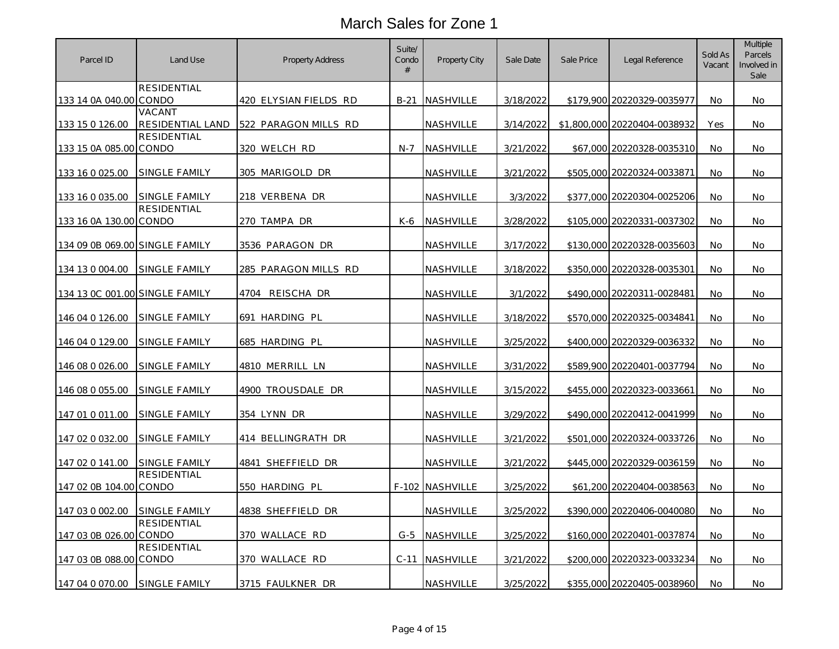| Parcel ID                      | Land Use             | <b>Property Address</b>      | Suite/<br>Condo<br># | Property City    | Sale Date | Sale Price | Legal Reference              | Sold As<br>Vacant | Multiple<br>Parcels<br>Involved in<br>Sale |
|--------------------------------|----------------------|------------------------------|----------------------|------------------|-----------|------------|------------------------------|-------------------|--------------------------------------------|
|                                | <b>RESIDENTIAL</b>   |                              |                      |                  |           |            |                              |                   |                                            |
| 133 14 0A 040.00 CONDO         | VACANT               | <u>420 ELYSIAN FIELDS RD</u> | $B-21$               | NASHVILLE        | 3/18/2022 |            | \$179,900 20220329-0035977   | No                | No                                         |
| 133 15 0 126.00                | RESIDENTIAL LAND     | 522 PARAGON MILLS RD         |                      | NASHVILLE        | 3/14/2022 |            | \$1,800,000 20220404-0038932 | Yes               | No                                         |
| 133 15 0A 085.00 CONDO         | RESIDENTIAL          | 320 WELCH RD                 | N-7                  | NASHVILLE        | 3/21/2022 |            | \$67,000 20220328-0035310    | No                | No                                         |
| 133 16 0 025.00                | SINGLE FAMILY        | 305 MARIGOLD DR              |                      | <b>NASHVILLE</b> | 3/21/2022 |            | \$505,000 20220324-0033871   | No                | No                                         |
| 133 16 0 035.00                | <b>SINGLE FAMILY</b> | 218 VERBENA DR               |                      | <b>NASHVILLE</b> | 3/3/2022  |            | \$377,000 20220304-0025206   | No                | No                                         |
| 133 16 0A 130.00 CONDO         | RESIDENTIAL          | 270 TAMPA DR                 | K-6                  | <b>NASHVILLE</b> | 3/28/2022 |            | \$105,000 20220331-0037302   | No                | No                                         |
| 134 09 0B 069.00 SINGLE FAMILY |                      | 3536 PARAGON DR              |                      | <b>NASHVILLE</b> | 3/17/2022 |            | \$130,000 20220328-0035603   | No.               | No.                                        |
| 134 13 0 004.00                | SINGLE FAMILY        | 285 PARAGON MILLS RD         |                      | NASHVILLE        | 3/18/2022 |            | \$350,000 20220328-0035301   | <b>No</b>         | No                                         |
| 134 13 OC 001.00 SINGLE FAMILY |                      | 4704 REISCHA DR              |                      | NASHVILLE        | 3/1/2022  |            | \$490,000 20220311-0028481   | No                | No                                         |
| 146 04 0 126.00                | <b>SINGLE FAMILY</b> | 691 HARDING PL               |                      | NASHVILLE        | 3/18/2022 |            | \$570,000 20220325-0034841   | No                | No                                         |
| 146 04 0 129.00                | SINGLE FAMILY        | 685 HARDING PL               |                      | NASHVILLE        | 3/25/2022 |            | \$400,000 20220329-0036332   | No                | No                                         |
| 146 08 0 026.00                | SINGLE FAMILY        | 4810 MERRILL LN              |                      | NASHVILLE        | 3/31/2022 |            | \$589,900 20220401-0037794   | No                | No                                         |
| 146 08 0 055.00                | SINGLE FAMILY        | 4900 TROUSDALE DR            |                      | <b>NASHVILLE</b> | 3/15/2022 |            | \$455,000 20220323-0033661   | No                | No                                         |
| 147 01 0 011.00                | <b>SINGLE FAMILY</b> | 354 LYNN DR                  |                      | NASHVILLE        | 3/29/2022 |            | \$490,000 20220412-0041999   | No                | No                                         |
| 147 02 0 032.00                | SINGLE FAMILY        | 414 BELLINGRATH DR           |                      | <b>NASHVILLE</b> | 3/21/2022 |            | \$501,000 20220324-0033726   | No                | No                                         |
| 147 02 0 141.00                | <b>SINGLE FAMILY</b> | 4841 SHEFFIELD DR            |                      | NASHVILLE        | 3/21/2022 |            | \$445,000 20220329-0036159   | No                | No                                         |
| 147 02 0B 104.00 CONDO         | RESIDENTIAL          | 550 HARDING PL               |                      | F-102 NASHVILLE  | 3/25/2022 |            | \$61,200 20220404-0038563    | No                | No                                         |
| 147 03 0 002.00                | SINGLE FAMILY        | 4838 SHEFFIELD DR            |                      | <b>NASHVILLE</b> | 3/25/2022 |            | \$390,000 20220406-0040080   | No                | No                                         |
| 147 03 0B 026.00 CONDO         | RESIDENTIAL          | 370 WALLACE RD               | $G-5$                | NASHVILLE        | 3/25/2022 |            | \$160,000 20220401-0037874   | <b>No</b>         | No                                         |
| 147 03 0B 088.00 CONDO         | <b>RESIDENTIAL</b>   | 370 WALLACE RD               | $C-11$               | NASHVILLE        | 3/21/2022 |            | \$200,000 20220323-0033234   | No.               | No                                         |
| 147 04 0 070.00                | SINGLE FAMILY        | 3715 FAULKNER DR             |                      | NASHVILLE        | 3/25/2022 |            | \$355,000 20220405-0038960   | No                | No                                         |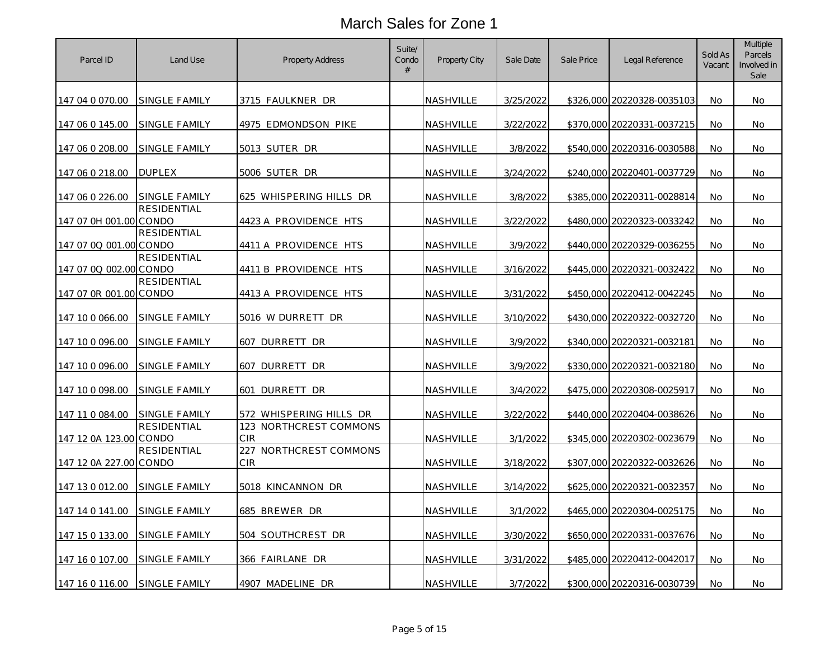| Parcel ID              | Land Use                    | <b>Property Address</b>              | Suite/<br>Condo<br>$\#$ | Property City    | Sale Date | Sale Price | Legal Reference            | Sold As<br>Vacant | Multiple<br>Parcels<br>Involved in<br>Sale |
|------------------------|-----------------------------|--------------------------------------|-------------------------|------------------|-----------|------------|----------------------------|-------------------|--------------------------------------------|
| 147 04 0 070.00        | SINGLE FAMILY               | 3715 FAULKNER DR                     |                         | NASHVILLE        | 3/25/2022 |            | \$326,000 20220328-0035103 | No                | No                                         |
| 147 06 0 145.00        | <b>SINGLE FAMILY</b>        | 4975 EDMONDSON PIKE                  |                         | <u>NASHVILLE</u> | 3/22/2022 |            | \$370,000 20220331-0037215 | No                | No.                                        |
| 147 06 0 208.00        | <b>SINGLE FAMILY</b>        | 5013 SUTER DR                        |                         | NASHVILLE        | 3/8/2022  |            | \$540,000 20220316-0030588 | No                | No.                                        |
| 147 06 0 218.00        | <b>DUPLEX</b>               | 5006 SUTER DR                        |                         | NASHVILLE        | 3/24/2022 |            | \$240,000 20220401-0037729 | No                | No.                                        |
| 147 06 0 226.00        | SINGLE FAMILY               | 625 WHISPERING HILLS DR              |                         | <u>NASHVILLE</u> | 3/8/2022  |            | \$385,000 20220311-0028814 | No                | No                                         |
| 147 07 0H 001.00 CONDO | <b>RESIDENTIAL</b>          | 4423 A PROVIDENCE HTS                |                         | NASHVILLE        | 3/22/2022 |            | \$480,000 20220323-0033242 | No                | No.                                        |
| 147 07 0Q 001.00 CONDO | RESIDENTIAL                 | 4411 A PROVIDENCE HTS                |                         | NASHVILLE        | 3/9/2022  |            | \$440,000 20220329-0036255 | No                | No                                         |
| 147 07 00 002.00 CONDO | <b>RESIDENTIAL</b>          | 4411 B PROVIDENCE HTS                |                         | <u>NASHVILLE</u> | 3/16/2022 |            | \$445,000 20220321-0032422 | No                | No.                                        |
| 147 07 0R 001.00 CONDO | <b>RESIDENTIAL</b>          | 4413 A PROVIDENCE HTS                |                         | NASHVILLE        | 3/31/2022 |            | \$450,000 20220412-0042245 | No                | No.                                        |
| 147 10 0 066.00        | SINGLE FAMILY               | 5016 W DURRETT DR                    |                         | <u>NASHVILLE</u> | 3/10/2022 |            | \$430,000 20220322-0032720 | No                | No.                                        |
| 147 10 0 096.00        | <b>SINGLE FAMILY</b>        | 607 DURRETT DR                       |                         | <u>NASHVILLE</u> | 3/9/2022  |            | \$340,000 20220321-0032181 | No                | No                                         |
| 147 10 0 096.00        | SINGLE FAMILY               | 607 DURRETT DR                       |                         | <u>NASHVILLE</u> | 3/9/2022  |            | \$330,000 20220321-0032180 | No                | No.                                        |
| 147 10 0 098.00        | <b>SINGLE FAMILY</b>        | 601 DURRETT DR                       |                         | NASHVILLE        | 3/4/2022  |            | \$475,000 20220308-0025917 | No                | No.                                        |
| 147 11 0 084.00        | <b>SINGLE FAMILY</b>        | 572 WHISPERING HILLS DR              |                         | <u>NASHVILLE</u> | 3/22/2022 |            | \$440,000 20220404-0038626 | No                | No.                                        |
| 147 12 0A 123.00       | <b>RESIDENTIAL</b><br>CONDO | 123 NORTHCREST COMMONS<br>CIR        |                         | NASHVILLE        | 3/1/2022  |            | \$345,000 20220302-0023679 | No                | No.                                        |
| 147 12 0A 227.00 CONDO | RESIDENTIAL                 | 227 NORTHCREST COMMONS<br><b>CIR</b> |                         | <u>NASHVILLE</u> | 3/18/2022 |            | \$307,000 20220322-0032626 | No                | No                                         |
| 147 13 0 012.00        | SINGLE FAMILY               | 5018 KINCANNON DR                    |                         | NASHVILLE        | 3/14/2022 |            | \$625,000 20220321-0032357 | No                | No                                         |
| 147 14 0 141.00        | <b>SINGLE FAMILY</b>        | 685 BREWER DR                        |                         | <u>NASHVILLE</u> | 3/1/2022  |            | \$465,000 20220304-0025175 | No.               | No.                                        |
| <u>147 15 0 133.00</u> | SINGLE FAMILY               | 504 SOUTHCREST DR                    |                         | NASHVILLE        | 3/30/2022 |            | \$650,000 20220331-0037676 | No                | No.                                        |
| 147 16 0 107.00        | <b>SINGLE FAMILY</b>        | 366 FAIRLANE DR                      |                         | <b>NASHVILLE</b> | 3/31/2022 |            | \$485,000 20220412-0042017 | No                | No.                                        |
| 147 16 0 116.00        | <b>SINGLE FAMILY</b>        | 4907 MADELINE DR                     |                         | NASHVILLE        | 3/7/2022  |            | \$300,000 20220316-0030739 | No                | No.                                        |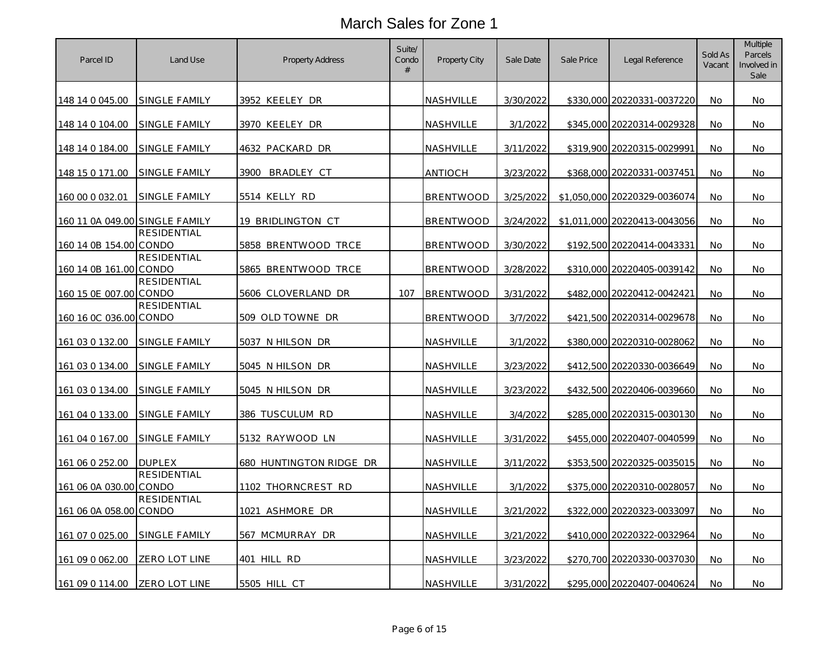| Parcel ID                      | Land Use                    | <b>Property Address</b> | Suite/<br>Condo<br>$\#$ | Property City    | Sale Date | Sale Price | Legal Reference              | Sold As<br>Vacant | Multiple<br>Parcels<br>Involved in<br>Sale |
|--------------------------------|-----------------------------|-------------------------|-------------------------|------------------|-----------|------------|------------------------------|-------------------|--------------------------------------------|
| 148 14 0 045.00                | SINGLE FAMILY               | 3952 KEELEY DR          |                         | NASHVILLE        | 3/30/2022 |            | \$330,000 20220331-0037220   | No                | No.                                        |
| 148 14 0 104.00                | SINGLE FAMILY               | 3970 KEELEY DR          |                         | NASHVILLE        | 3/1/2022  |            | \$345,000 20220314-0029328   | No                | No                                         |
| 148 14 0 184.00                | <b>SINGLE FAMILY</b>        | 4632 PACKARD DR         |                         | NASHVILLE        | 3/11/2022 |            | \$319,900 20220315-0029991   | No                | No.                                        |
| 148 15 0 171.00                | SINGLE FAMILY               | 3900<br>BRADLEY CT      |                         | antioch          | 3/23/2022 |            | \$368,000 20220331-0037451   | No                | No                                         |
| 160 00 0 032.01                | <b>SINGLE FAMILY</b>        | 5514 KELLY RD           |                         | BRENTWOOD        | 3/25/2022 |            | \$1,050,000 20220329-0036074 | No.               | No.                                        |
| 160 11 0A 049.00 SINGLE FAMILY |                             | 19 BRIDLINGTON CT       |                         | <b>BRENTWOOD</b> | 3/24/2022 |            | \$1,011,000 20220413-0043056 | No                | No                                         |
| 160 14 0B 154.00 CONDO         | <b>RESIDENTIAL</b>          | 5858 BRENTWOOD TRCE     |                         | <b>BRENTWOOD</b> | 3/30/2022 |            | \$192,500 20220414-0043331   | No.               | No.                                        |
| 160 14 0B 161.00 CONDO         | <b>RESIDENTIAL</b>          | 5865 BRENTWOOD TRCE     |                         | <b>BRENTWOOD</b> | 3/28/2022 |            | \$310,000 20220405-0039142   | No                | No.                                        |
| 160 15 0E 007.00 CONDO         | <b>RESIDENTIAL</b>          | 5606 CLOVERLAND DR      | 107                     | <b>BRENTWOOD</b> | 3/31/2022 |            | \$482,000 20220412-0042421   | No.               | No.                                        |
| 160 16 0C 036.00 CONDO         | RESIDENTIAL                 | 509 OLD TOWNE DR        |                         | <b>BRENTWOOD</b> | 3/7/2022  |            | \$421,500 20220314-0029678   | No                | No.                                        |
| 161 03 0 132.00                | <b>SINGLE FAMILY</b>        | 5037 N HILSON DR        |                         | NASHVILLE        | 3/1/2022  |            | \$380,000 20220310-0028062   | No.               | No                                         |
| 161 03 0 134.00                | <b>SINGLE FAMILY</b>        | 5045 N HILSON DR        |                         | NASHVILLE        | 3/23/2022 |            | \$412,500 20220330-0036649   | No                | No.                                        |
| 161 03 0 134.00                | SINGLE FAMILY               | 5045 N HILSON DR        |                         | NASHVILLE        | 3/23/2022 |            | \$432,500 20220406-0039660   | No                | No.                                        |
| 161 04 0 133.00                | <b>SINGLE FAMILY</b>        | 386 TUSCULUM RD         |                         | NASHVILLE        | 3/4/2022  |            | \$285,000 20220315-0030130   | No                | No.                                        |
| 161 04 0 167.00                | SINGLE FAMILY               | 5132 RAYWOOD LN         |                         | NASHVILLE        | 3/31/2022 |            | \$455,000 20220407-0040599   | No                | No.                                        |
| 161 06 0 252.00                | <b>DUPLEX</b>               | 680 HUNTINGTON RIDGE DR |                         | NASHVILLE        | 3/11/2022 |            | \$353,500 20220325-0035015   | No                | No.                                        |
| 161 06 0A 030.00               | <b>RESIDENTIAL</b><br>CONDO | 1102 THORNCREST RD      |                         | NASHVILLE        | 3/1/2022  |            | \$375,000 20220310-0028057   | No                | No                                         |
| 161 06 0A 058.00 CONDO         | RESIDENTIAL                 | 1021 ASHMORE DR         |                         | NASHVILLE        | 3/21/2022 |            | \$322,000 20220323-0033097   | No                | No.                                        |
| 161 07 0 025.00                | SINGLE FAMILY               | 567 MCMURRAY DR         |                         | NASHVILLE        | 3/21/2022 |            | \$410,000 20220322-0032964   | No                | No                                         |
| 161 09 0 062.00                | ZERO LOT LINE               | 401 HILL RD             |                         | NASHVILLE        | 3/23/2022 |            | \$270,700 20220330-0037030   | No                | No.                                        |
| 161 09 0 114.00                | ZERO LOT LINE               | 5505 HILL CT            |                         | NASHVILLE        | 3/31/2022 |            | \$295,000 20220407-0040624   | No                | No.                                        |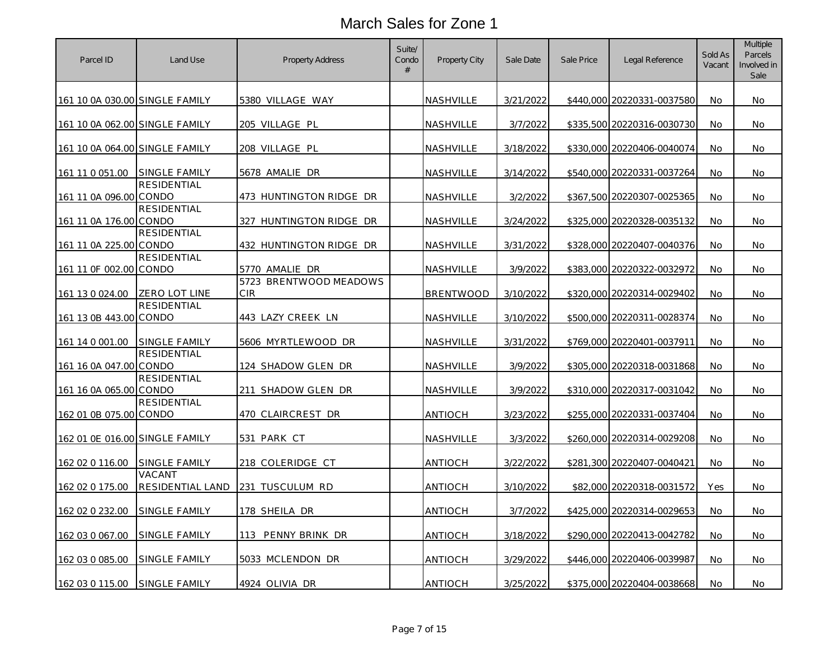| Parcel ID                      | Land Use                   | <b>Property Address</b>       | Suite/<br>Condo<br># | Property City    | Sale Date | Sale Price | Legal Reference            | Sold As<br>Vacant | Multiple<br>Parcels<br>Involved in<br>Sale |
|--------------------------------|----------------------------|-------------------------------|----------------------|------------------|-----------|------------|----------------------------|-------------------|--------------------------------------------|
| 161 10 0A 030.00 SINGLE FAMILY |                            | 5380 VILLAGE WAY              |                      | NASHVILLE        | 3/21/2022 |            | \$440,000 20220331-0037580 | No                | No.                                        |
| 161 10 0A 062.00 SINGLE FAMILY |                            | 205 VILLAGE PL                |                      | <b>NASHVILLE</b> | 3/7/2022  |            | \$335,500 20220316-0030730 | No                | No.                                        |
| 161 10 0A 064.00 SINGLE FAMILY |                            | 208 VILLAGE PL                |                      | NASHVILLE        | 3/18/2022 |            | \$330,000 20220406-0040074 | No                | No.                                        |
| 161 11 0 051.00                | <b>SINGLE FAMILY</b>       | 5678 AMALIE DR                |                      | NASHVILLE        | 3/14/2022 |            | \$540,000 20220331-0037264 | No                | No.                                        |
| 161 11 0A 096.00 CONDO         | <b>RESIDENTIAL</b>         | 473 HUNTINGTON RIDGE DR       |                      | NASHVILLE        | 3/2/2022  |            | \$367,500 20220307-0025365 | No                | No.                                        |
| 161 11 0A 176.00 CONDO         | <b>RESIDENTIAL</b>         | 327 HUNTINGTON RIDGE DR       |                      | NASHVILLE        | 3/24/2022 |            | \$325,000 20220328-0035132 | No                | No.                                        |
| 161 11 0A 225.00 CONDO         | RESIDENTIAL                | 432 HUNTINGTON RIDGE DR       |                      | NASHVILLE        | 3/31/2022 |            | \$328,000 20220407-0040376 | No                | No                                         |
| 161 11 0F 002.00 CONDO         | <b>RESIDENTIAL</b>         | 5770 AMALIE DR                |                      | <u>NASHVILLE</u> | 3/9/2022  |            | \$383,000 20220322-0032972 | No                | No.                                        |
| 161 13 0 024.00                | ZERO LOT LINE              | 5723 BRENTWOOD MEADOWS<br>CIR |                      | <b>BRENTWOOD</b> | 3/10/2022 |            | \$320,000 20220314-0029402 | No                | No.                                        |
| 161 13 0B 443.00 CONDO         | RESIDENTIAL                | 443 LAZY CREEK LN             |                      | <u>NASHVILLE</u> | 3/10/2022 |            | \$500,000 20220311-0028374 | No                | No.                                        |
| 161 14 0 001.00                | <b>SINGLE FAMILY</b>       | 5606 MYRTLEWOOD DR            |                      | NASHVILLE        | 3/31/2022 |            | \$769,000 20220401-003791  | No                | No                                         |
| 161 16 0A 047.00 CONDO         | <b>RESIDENTIAL</b>         | 124 SHADOW GLEN DR            |                      | <u>NASHVILLE</u> | 3/9/2022  |            | \$305,000 20220318-0031868 | No                | No.                                        |
| 161 16 0A 065.00 CONDO         | <b>RESIDENTIAL</b>         | 211 SHADOW GLEN DR            |                      | NASHVILLE        | 3/9/2022  |            | \$310,000 20220317-0031042 | No                | No.                                        |
| 162 01 0B 075.00 CONDO         | <b>RESIDENTIAL</b>         | 470 CLAIRCREST DR             |                      | antioch          | 3/23/2022 |            | \$255,000 20220331-0037404 | No                | No.                                        |
| 162 01 0E 016.00 SINGLE FAMILY |                            | 531 PARK CT                   |                      | NASHVILLE        | 3/3/2022  |            | \$260,000 20220314-0029208 | <b>No</b>         | No.                                        |
| 162 02 0 116.00                | SINGLE FAMILY              | 218 COLERIDGE CT              |                      | antioch          | 3/22/2022 |            | \$281,300 20220407-0040421 | No.               | No.                                        |
| 162 02 0 175.00                | VACANT<br>RESIDENTIAL LAND | 231 TUSCULUM RD               |                      | ANTIOCH          | 3/10/2022 |            | \$82,000 20220318-0031572  | Yes               | No.                                        |
| 162 02 0 232.00                | <b>SINGLE FAMILY</b>       | <u>178 SHEILA DR</u>          |                      | antioch          | 3/7/2022  |            | \$425,000 20220314-0029653 | No.               | No.                                        |
| 162 03 0 067.00                | SINGLE FAMILY              | 113 PENNY BRINK DR            |                      | antioch          | 3/18/2022 |            | \$290,000 20220413-0042782 | No                | No.                                        |
| 162 03 0 085.00                | SINGLE FAMILY              | 5033 MCLENDON DR              |                      | antioch          | 3/29/2022 |            | \$446,000 20220406-0039987 | No                | No.                                        |
| 162 03 0 115.00                | <b>SINGLE FAMILY</b>       | 4924 OLIVIA DR                |                      | <b>ANTIOCH</b>   | 3/25/2022 |            | \$375,000 20220404-0038668 | No                | No.                                        |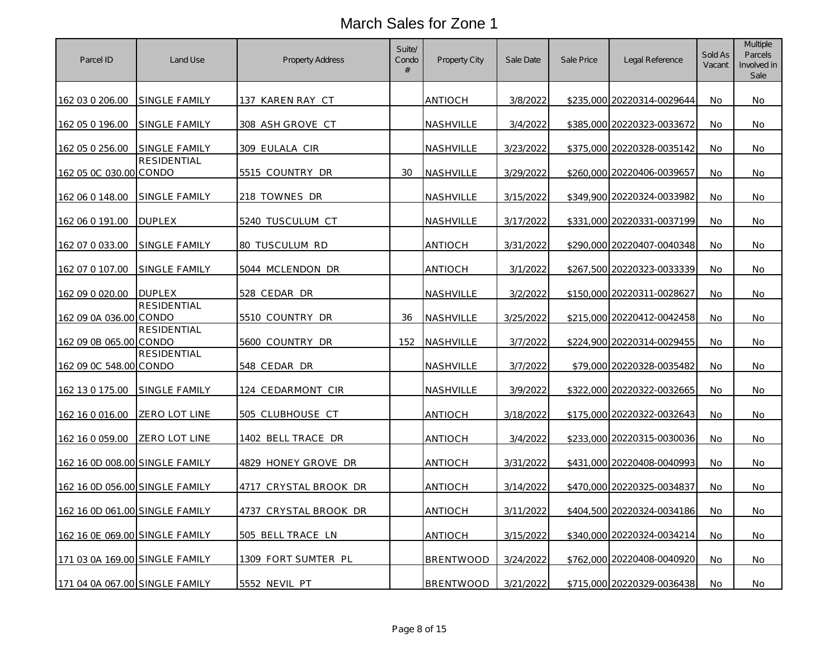| Parcel ID                      | Land Use                    | <b>Property Address</b> | Suite/<br>Condo<br>$\#$ | Property City    | Sale Date | Sale Price | Legal Reference            | Sold As<br>Vacant | Multiple<br>Parcels<br>Involved in<br>Sale |
|--------------------------------|-----------------------------|-------------------------|-------------------------|------------------|-----------|------------|----------------------------|-------------------|--------------------------------------------|
| 162 03 0 206.00                | SINGLE FAMILY               | 137 KAREN RAY CT        |                         | antioch          | 3/8/2022  |            | \$235,000 20220314-0029644 | No                | No.                                        |
| 162 05 0 196.00                | <b>SINGLE FAMILY</b>        | 308 ASH GROVE CT        |                         | NASHVILLE        | 3/4/2022  |            | \$385,000 20220323-0033672 | No                | No                                         |
| 162 05 0 256.00                | <b>SINGLE FAMILY</b>        | 309 EULALA CIR          |                         | NASHVILLE        | 3/23/2022 |            | \$375,000 20220328-0035142 | No                | No.                                        |
| 162 05 0C 030.00 CONDO         | <b>RESIDENTIAL</b>          | 5515 COUNTRY DR         | 30                      | NASHVILLE        | 3/29/2022 |            | \$260,000 20220406-0039657 | No                | No                                         |
| 162 06 0 148.00                | <b>SINGLE FAMILY</b>        | 218 TOWNES DR           |                         | NASHVILLE        | 3/15/2022 |            | \$349,900 20220324-0033982 | No.               | No.                                        |
| 162 06 0 191.00                | <b>DUPLEX</b>               | 5240 TUSCULUM CT        |                         | NASHVILLE        | 3/17/2022 |            | \$331,000 20220331-0037199 | No                | No                                         |
| 162 07 0 033.00                | SINGLE FAMILY               | 80 TUSCULUM RD          |                         | antioch          | 3/31/2022 |            | \$290,000 20220407-0040348 | No.               | No.                                        |
| 162 07 0 107.00                | SINGLE FAMILY               | 5044 MCLENDON DR        |                         | antioch          | 3/1/2022  |            | \$267,500 20220323-0033339 | No                | No.                                        |
| 162 09 0 020.00                | <b>DUPLEX</b>               | 528 CEDAR DR            |                         | NASHVILLE        | 3/2/2022  |            | \$150,000 20220311-0028627 | No.               | No.                                        |
| 162 09 0A 036.00               | <b>RESIDENTIAL</b><br>CONDO | 5510 COUNTRY DR         | 36                      | NASHVILLE        | 3/25/2022 |            | \$215,000 20220412-0042458 | No                | No.                                        |
| 162 09 0B 065.00               | RESIDENTIAL<br>CONDO        | 5600 COUNTRY DR         | 152                     | <b>NASHVILLE</b> | 3/7/2022  |            | \$224,900 20220314-0029455 | No.               | No                                         |
| 162 09 0C 548.00 CONDO         | <b>RESIDENTIAL</b>          | 548 CEDAR DR            |                         | NASHVILLE        | 3/7/2022  |            | \$79,000 20220328-0035482  | <b>No</b>         | No.                                        |
| 162 13 0 175.00                | SINGLE FAMILY               | 124 CEDARMONT CIR       |                         | <b>NASHVILLE</b> | 3/9/2022  |            | \$322,000 20220322-0032665 | No                | No.                                        |
| 162 16 0 016.00                | ZERO LOT LINE               | 505 CLUBHOUSE CT        |                         | ANTIOCH          | 3/18/2022 |            | \$175,000 20220322-0032643 | No                | No.                                        |
| 162 16 0 059.00                | ZERO LOT LINE               | 1402 BELL TRACE DR      |                         | antioch          | 3/4/2022  |            | \$233,000 20220315-0030036 | No                | No.                                        |
| 162 16 0D 008.00 SINGLE FAMILY |                             | 4829 HONEY GROVE DR     |                         | antioch          | 3/31/2022 |            | \$431,000 20220408-0040993 | No                | No.                                        |
| 162 16 0D 056.00 SINGLE FAMILY |                             | 4717 CRYSTAL BROOK DR   |                         | ANTIOCH          | 3/14/2022 |            | \$470,000 20220325-0034837 | No                | No                                         |
| 162 16 0D 061.00 SINGLE FAMILY |                             | 4737 CRYSTAL BROOK DR   |                         | ANTIOCH          | 3/11/2022 |            | \$404,500 20220324-0034186 | No                | No.                                        |
| 162 16 0E 069.00 SINGLE FAMILY |                             | 505 BELL TRACE LN       |                         | antioch          | 3/15/2022 |            | \$340,000 20220324-0034214 | No                | No                                         |
| 171 03 0A 169.00 SINGLE FAMILY |                             | 1309 FORT SUMTER PL     |                         | BRENTWOOD        | 3/24/2022 |            | \$762,000 20220408-0040920 | No                | No.                                        |
| 171 04 0A 067.00 SINGLE FAMILY |                             | 5552 NEVIL PT           |                         | <b>BRENTWOOD</b> | 3/21/2022 |            | \$715,000 20220329-0036438 | No                | No.                                        |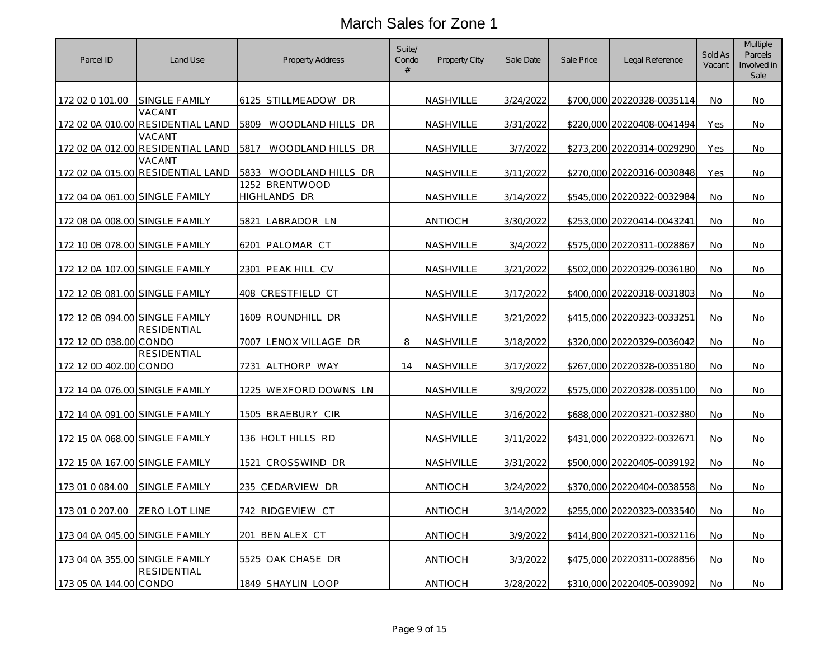| Parcel ID                      | Land Use                                    | Property Address               | Suite/<br>Condo<br># | Property City    | Sale Date | Sale Price | Legal Reference            | Sold As<br>Vacant | Multiple<br>Parcels<br>Involved in<br>Sale |
|--------------------------------|---------------------------------------------|--------------------------------|----------------------|------------------|-----------|------------|----------------------------|-------------------|--------------------------------------------|
| 172 02 0 101.00                | SINGLE FAMILY                               | 6125 STILLMEADOW DR            |                      | <b>NASHVILLE</b> | 3/24/2022 |            | \$700,000 20220328-0035114 | No                | No                                         |
|                                | VACANT<br>172 02 0A 010.00 RESIDENTIAL LAND | 5809 WOODLAND HILLS DR         |                      | NASHVILLE        | 3/31/2022 |            | \$220,000 20220408-0041494 | Yes               | No                                         |
|                                | VACANT<br>172 02 0A 012.00 RESIDENTIAL LAND | 5817<br>WOODLAND HILLS DR      |                      | NASHVILLE        | 3/7/2022  |            | \$273,200 20220314-0029290 | Yes               | No                                         |
|                                | VACANT<br>172 02 0A 015.00 RESIDENTIAL LAND | 5833 WOODLAND HILLS DR         |                      | <b>NASHVILLE</b> | 3/11/2022 |            | \$270,000 20220316-0030848 | Yes               | No                                         |
| 172 04 0A 061.00 SINGLE FAMILY |                                             | 1252 BRENTWOOD<br>HIGHLANDS DR |                      | <b>NASHVILLE</b> | 3/14/2022 |            | \$545,000 20220322-0032984 | No                | No                                         |
| 172 08 0A 008.00 SINGLE FAMILY |                                             | 5821 LABRADOR LN               |                      | ANTIOCH          | 3/30/2022 |            | \$253,000 20220414-0043241 | No                | No                                         |
| 172 10 0B 078.00 SINGLE FAMILY |                                             | 6201<br>PALOMAR CT             |                      | NASHVILLE        | 3/4/2022  |            | \$575,000 20220311-0028867 | No                | No                                         |
| 172 12 0A 107.00 SINGLE FAMILY |                                             | 2301 PEAK HILL CV              |                      | NASHVILLE        | 3/21/2022 |            | \$502,000 20220329-0036180 | No                | No                                         |
| 172 12 0B 081.00 SINGLE FAMILY |                                             | 408 CRESTFIELD CT              |                      | <b>NASHVILLE</b> | 3/17/2022 |            | \$400,000 20220318-0031803 | No                | No                                         |
| 172 12 0B 094.00 SINGLE FAMILY |                                             | 1609 ROUNDHILL DR              |                      | NASHVILLE        | 3/21/2022 |            | \$415,000 20220323-0033251 | No                | No                                         |
| 172 12 0D 038.00 CONDO         | <b>RESIDENTIAL</b>                          | 7007 LENOX VILLAGE DR          | 8                    | NASHVILLE        | 3/18/2022 |            | \$320,000 20220329-0036042 | No                | No                                         |
| 172 12 0D 402.00 CONDO         | <b>RESIDENTIAL</b>                          | 7231 ALTHORP WAY               | 14                   | NASHVILLE        | 3/17/2022 |            | \$267,000 20220328-0035180 | No                | No                                         |
| 172 14 0A 076.00 SINGLE FAMILY |                                             | 1225 WEXFORD DOWNS LN          |                      | NASHVILLE        | 3/9/2022  |            | \$575,000 20220328-0035100 | No                | No                                         |
| 172 14 0A 091.00 SINGLE FAMILY |                                             | 1505 BRAEBURY CIR              |                      | NASHVILLE        | 3/16/2022 |            | \$688,000 20220321-0032380 | No.               | No.                                        |
| 172 15 0A 068.00 SINGLE FAMILY |                                             | 136 HOLT HILLS RD              |                      | NASHVILLE        | 3/11/2022 |            | \$431,000 20220322-0032671 | <b>No</b>         | No                                         |
| 172 15 0A 167.00 SINGLE FAMILY |                                             | 1521 CROSSWIND DR              |                      | NASHVILLE        | 3/31/2022 |            | \$500,000 20220405-0039192 | No.               | No                                         |
| 173 01 0 084.00                | SINGLE FAMILY                               | 235 CEDARVIEW DR               |                      | ANTIOCH          | 3/24/2022 |            | \$370,000 20220404-0038558 | No                | No                                         |
| 173 01 0 207.00                | ZERO LOT LINE                               | 742 RIDGEVIEW CT               |                      | ANTIOCH          | 3/14/2022 |            | \$255,000 20220323-0033540 | No.               | No.                                        |
| 173 04 0A 045.00 SINGLE FAMILY |                                             | 201 BEN ALEX CT                |                      | ANTIOCH          | 3/9/2022  |            | \$414,800 20220321-0032116 | <b>No</b>         | No                                         |
| 173 04 0A 355.00 SINGLE FAMILY |                                             | 5525 OAK CHASE DR              |                      | ANTIOCH          | 3/3/2022  |            | \$475,000 20220311-0028856 | No                | No                                         |
| 173 05 0A 144.00 CONDO         | <b>RESIDENTIAL</b>                          | 1849 SHAYLIN LOOP              |                      | <b>ANTIOCH</b>   | 3/28/2022 |            | \$310,000 20220405-0039092 | No                | No                                         |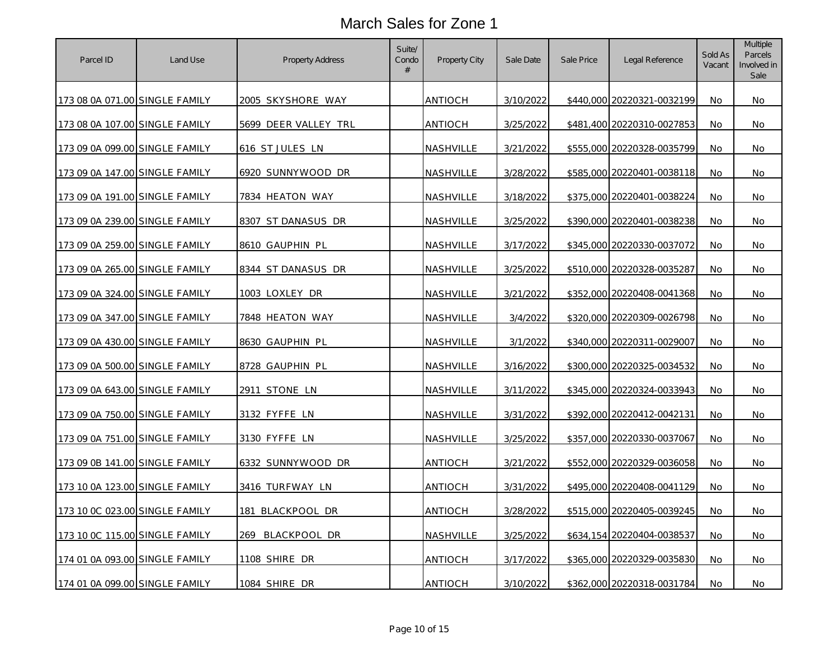| Parcel ID                      | Land Use | <b>Property Address</b> | Suite/<br>Condo<br>$\#$ | Property City    | Sale Date | Sale Price | Legal Reference            | Sold As<br>Vacant | Multiple<br>Parcels<br>Involved in<br>Sale |
|--------------------------------|----------|-------------------------|-------------------------|------------------|-----------|------------|----------------------------|-------------------|--------------------------------------------|
| 173 08 0A 071.00 SINGLE FAMILY |          | 2005 SKYSHORE WAY       |                         | ANTIOCH          | 3/10/2022 |            | \$440,000 20220321-0032199 | No                | No                                         |
| 173 08 0A 107.00 SINGLE FAMILY |          | 5699 DEER VALLEY TRL    |                         | ANTIOCH          | 3/25/2022 |            | \$481,400 20220310-0027853 | No                | No                                         |
| 173 09 0A 099.00 SINGLE FAMILY |          | 616 ST JULES LN         |                         | NASHVILLE        | 3/21/2022 |            | \$555,000 20220328-0035799 | No                | No.                                        |
| 173 09 0A 147.00 SINGLE FAMILY |          | 6920 SUNNYWOOD DR       |                         | <b>NASHVILLE</b> | 3/28/2022 |            | \$585,000 20220401-0038118 | No                | No                                         |
| 173 09 0A 191.00 SINGLE FAMILY |          | 7834 HEATON WAY         |                         | <b>NASHVILLE</b> | 3/18/2022 |            | \$375,000 20220401-0038224 | No                | No                                         |
| 173 09 0A 239.00 SINGLE FAMILY |          | 8307 ST DANASUS DR      |                         | NASHVILLE        | 3/25/2022 |            | \$390,000 20220401-0038238 | No                | No                                         |
| 173 09 0A 259.00 SINGLE FAMILY |          | 8610 GAUPHIN PL         |                         | <b>NASHVILLE</b> | 3/17/2022 |            | \$345,000 20220330-0037072 | No                | No.                                        |
| 173 09 0A 265.00 SINGLE FAMILY |          | 8344 ST DANASUS DR      |                         | NASHVILLE        | 3/25/2022 |            | \$510,000 20220328-0035287 | No                | No                                         |
| 173 09 0A 324.00 SINGLE FAMILY |          | 1003 LOXLEY DR          |                         | <b>NASHVILLE</b> | 3/21/2022 |            | \$352,000 20220408-0041368 | No                | No.                                        |
| 173 09 0A 347.00 SINGLE FAMILY |          | 7848 HEATON WAY         |                         | NASHVILLE        | 3/4/2022  |            | \$320,000 20220309-0026798 | No                | No.                                        |
| 173 09 0A 430.00 SINGLE FAMILY |          | 8630 GAUPHIN PL         |                         | NASHVILLE        | 3/1/2022  |            | \$340,000 20220311-0029007 | No.               | No                                         |
| 173 09 0A 500.00 SINGLE FAMILY |          | 8728 GAUPHIN PL         |                         | NASHVILLE        | 3/16/2022 |            | \$300,000 20220325-0034532 | No                | No                                         |
| 173 09 0A 643.00 SINGLE FAMILY |          | 2911 STONE LN           |                         | <b>NASHVILLE</b> | 3/11/2022 |            | \$345,000 20220324-0033943 | No                | No.                                        |
| 173 09 0A 750.00 SINGLE FAMILY |          | 3132 FYFFE LN           |                         | NASHVILLE        | 3/31/2022 |            | \$392,000 20220412-0042131 | No                | No.                                        |
| 173 09 0A 751.00 SINGLE FAMILY |          | 3130 FYFFE LN           |                         | NASHVILLE        | 3/25/2022 |            | \$357,000 20220330-0037067 | No                | No                                         |
| 173 09 0B 141.00 SINGLE FAMILY |          | 6332 SUNNYWOOD DR       |                         | <b>ANTIOCH</b>   | 3/21/2022 |            | \$552,000 20220329-0036058 | No                | No.                                        |
| 173 10 0A 123.00 SINGLE FAMILY |          | 3416 TURFWAY LN         |                         | ANTIOCH          | 3/31/2022 |            | \$495,000 20220408-0041129 | No                | No                                         |
| 173 10 0C 023.00 SINGLE FAMILY |          | 181 BLACKPOOL DR        |                         | <b>ANTIOCH</b>   | 3/28/2022 |            | \$515,000 20220405-0039245 | No                | No.                                        |
| 173 10 0C 115.00 SINGLE FAMILY |          | 269 BLACKPOOL DR        |                         | <b>NASHVILLE</b> | 3/25/2022 |            | \$634,154 20220404-0038537 | No                | No                                         |
| 174 01 0A 093.00 SINGLE FAMILY |          | 1108 SHIRE DR           |                         | <b>ANTIOCH</b>   | 3/17/2022 |            | \$365,000 20220329-0035830 | No                | No                                         |
| 174 01 0A 099.00 SINGLE FAMILY |          | 1084 SHIRE DR           |                         | <b>ANTIOCH</b>   | 3/10/2022 |            | \$362,000 20220318-0031784 | No                | No.                                        |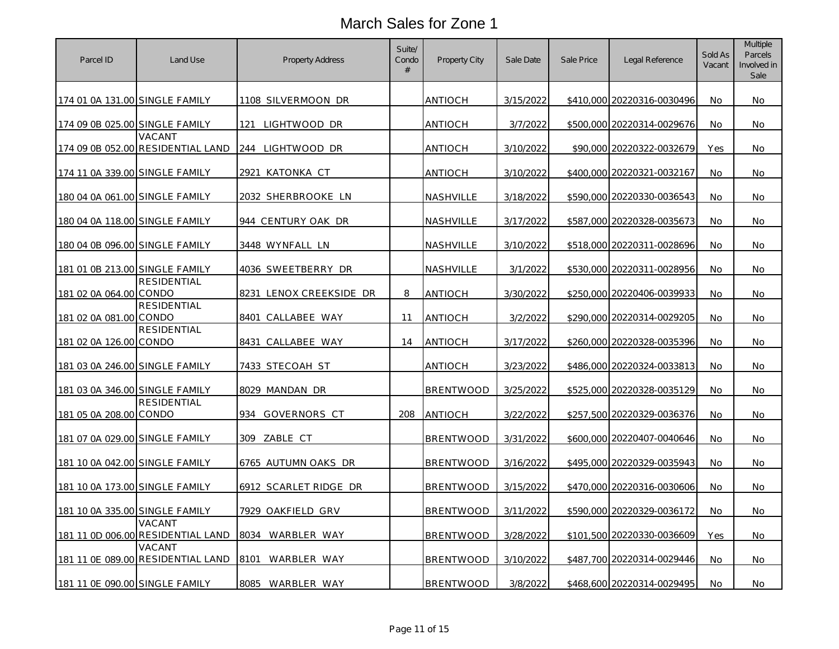| Parcel ID                      | Land Use                                    | <b>Property Address</b> | Suite/<br>Condo<br>$\#$ | <b>Property City</b> | Sale Date | Sale Price | Legal Reference            | Sold As<br>Vacant | Multiple<br>Parcels<br>Involved in<br>Sale |
|--------------------------------|---------------------------------------------|-------------------------|-------------------------|----------------------|-----------|------------|----------------------------|-------------------|--------------------------------------------|
| 174 01 0A 131.00 SINGLE FAMILY |                                             | 1108 SILVERMOON DR      |                         | antioch              | 3/15/2022 |            | \$410,000 20220316-0030496 | No                | No.                                        |
| 174 09 0B 025.00 SINGLE FAMILY |                                             | 121 LIGHTWOOD DR        |                         | <b>ANTIOCH</b>       | 3/7/2022  |            | \$500,000 20220314-0029676 | No                | No.                                        |
|                                | VACANT<br>174 09 0B 052.00 RESIDENTIAL LAND | 244 LIGHTWOOD DR        |                         | ANTIOCH              | 3/10/2022 |            | \$90,000 20220322-0032679  | Yes               | No                                         |
| 174 11 0A 339.00 SINGLE FAMILY |                                             | 2921 KATONKA CT         |                         | antioch              | 3/10/2022 |            | \$400,000 20220321-0032167 | No                | No.                                        |
| 180 04 0A 061.00 SINGLE FAMILY |                                             | 2032 SHERBROOKE LN      |                         | <u>NASHVILLE</u>     | 3/18/2022 |            | \$590,000 20220330-0036543 | No                | No.                                        |
| 180 04 0A 118.00 SINGLE FAMILY |                                             | 944 CENTURY OAK DR      |                         | NASHVILLE            | 3/17/2022 |            | \$587,000 20220328-0035673 | No                | No.                                        |
| 180 04 0B 096.00 SINGLE FAMILY |                                             | 3448 WYNFALL LN         |                         | NASHVILLE            | 3/10/2022 |            | \$518,000 20220311-0028696 | No                | No.                                        |
| 181 01 0B 213.00 SINGLE FAMILY |                                             | 4036 SWEETBERRY DR      |                         | NASHVILLE            | 3/1/2022  |            | \$530,000 20220311-0028956 | No                | No                                         |
| 181 02 0A 064.00 CONDO         | <b>RESIDENTIAL</b>                          | 8231 LENOX CREEKSIDE DR | 8                       | <b>ANTIOCH</b>       | 3/30/2022 |            | \$250,000 20220406-0039933 | No                | No.                                        |
| 181 02 0A 081.00 CONDO         | <b>RESIDENTIAL</b>                          | 8401 CALLABEE WAY       | 11                      | <b>ANTIOCH</b>       | 3/2/2022  |            | \$290,000 20220314-0029205 | No                | No.                                        |
| 181 02 0A 126.00 CONDO         | RESIDENTIAL                                 | 8431 CALLABEE WAY       | 14                      | <b>ANTIOCH</b>       | 3/17/2022 |            | \$260,000 20220328-0035396 | No                | No                                         |
| 181 03 0A 246.00 SINGLE FAMILY |                                             | 7433 STECOAH ST         |                         | antioch              | 3/23/2022 |            | \$486,000 20220324-0033813 | No                | No.                                        |
| 181 03 0A 346.00 SINGLE FAMILY |                                             | 8029 MANDAN DR          |                         | BRENTWOOD            | 3/25/2022 |            | \$525,000 20220328-0035129 | No                | No.                                        |
| 181 05 0A 208.00 CONDO         | <b>RESIDENTIAL</b>                          | 934 GOVERNORS CT        | 208                     | <b>ANTIOCH</b>       | 3/22/2022 |            | \$257,500 20220329-0036376 | No                | No.                                        |
| 181 07 0A 029.00 SINGLE FAMILY |                                             | 309 ZABLE CT            |                         | <b>BRENTWOOD</b>     | 3/31/2022 |            | \$600,000 20220407-0040646 | No                | No.                                        |
| 181 10 0A 042.00 SINGLE FAMILY |                                             | 6765 AUTUMN OAKS DR     |                         | <b>BRENTWOOD</b>     | 3/16/2022 |            | \$495,000 20220329-0035943 | No                | No.                                        |
| 181 10 0A 173.00 SINGLE FAMILY |                                             | 6912 SCARLET RIDGE DR   |                         | <b>BRENTWOOD</b>     | 3/15/2022 |            | \$470,000 20220316-0030606 | No                | No                                         |
| 181 10 0A 335.00 SINGLE FAMILY |                                             | 7929 OAKFIELD GRV       |                         | <b>BRENTWOOD</b>     | 3/11/2022 |            | \$590,000 20220329-0036172 | No                | No.                                        |
|                                | VACANT<br>181 11 0D 006.00 RESIDENTIAL LAND | 8034 WARBLER WAY        |                         | BRENTWOOD            | 3/28/2022 |            | \$101,500 20220330-0036609 | Yes               | No                                         |
|                                | VACANT<br>181 11 0E 089.00 RESIDENTIAL LAND | 8101 WARBLER WAY        |                         | BRENTWOOD            | 3/10/2022 |            | \$487,700 20220314-0029446 | No                | No.                                        |
| 181 11 OE 090.00 SINGLE FAMILY |                                             | 8085 WARBLER WAY        |                         | <b>BRENTWOOD</b>     | 3/8/2022  |            | \$468,600 20220314-0029495 | No                | No.                                        |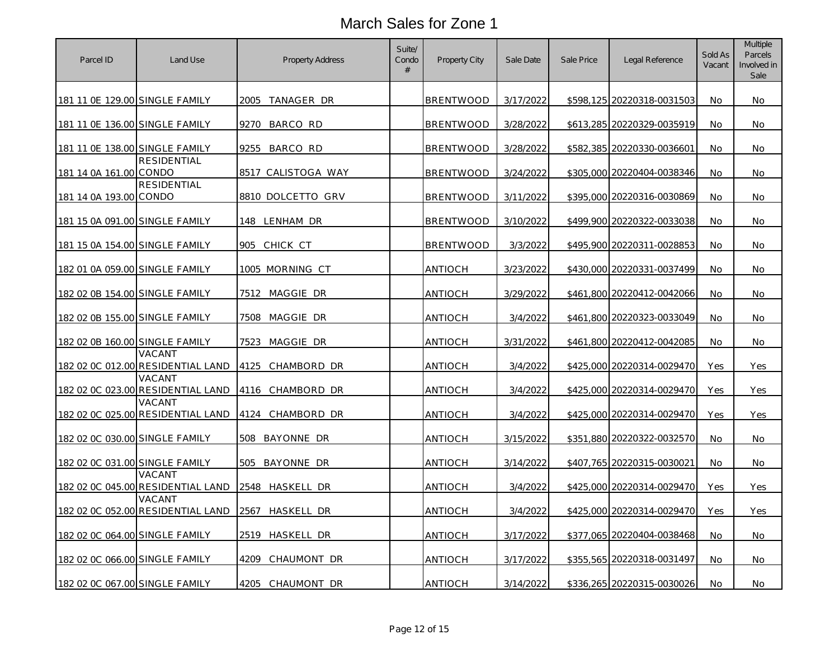| Parcel ID                      | Land Use                                    | <b>Property Address</b> | Suite/<br>Condo<br>$\#$ | Property City    | Sale Date | Sale Price | Legal Reference            | Sold As<br>Vacant | Multiple<br>Parcels<br>Involved in<br>Sale |
|--------------------------------|---------------------------------------------|-------------------------|-------------------------|------------------|-----------|------------|----------------------------|-------------------|--------------------------------------------|
| 181 11 0E 129.00 SINGLE FAMILY |                                             | 2005<br>TANAGER DR      |                         | <b>BRENTWOOD</b> | 3/17/2022 |            | \$598,125 20220318-0031503 | No                | No                                         |
| 181 11 OE 136.00 SINGLE FAMILY |                                             | 9270 BARCO RD           |                         | <b>BRENTWOOD</b> | 3/28/2022 |            | \$613,285 20220329-0035919 | No                | No                                         |
| 181 11 0E 138.00 SINGLE FAMILY |                                             | BARCO RD<br>9255        |                         | <b>BRENTWOOD</b> | 3/28/2022 |            | \$582,385 20220330-0036601 | No                | No                                         |
| 181 14 0A 161.00 CONDO         | <b>RESIDENTIAL</b>                          | 8517 CALISTOGA WAY      |                         | <b>BRENTWOOD</b> | 3/24/2022 |            | \$305,000 20220404-0038346 | No                | No                                         |
| 181 14 0A 193.00 CONDO         | RESIDENTIAL                                 | 8810 DOLCETTO GRV       |                         | <b>BRENTWOOD</b> | 3/11/2022 |            | \$395,000 20220316-0030869 | No                | No                                         |
| 181 15 0A 091.00 SINGLE FAMILY |                                             | 148 LENHAM DR           |                         | <b>BRENTWOOD</b> | 3/10/2022 |            | \$499,900 20220322-0033038 | <b>No</b>         | No.                                        |
| 181 15 0A 154.00 SINGLE FAMILY |                                             | 905 CHICK CT            |                         | <b>BRENTWOOD</b> | 3/3/2022  |            | \$495,900 20220311-0028853 | No                | No                                         |
| 182 01 0A 059.00 SINGLE FAMILY |                                             | 1005 MORNING CT         |                         | <b>ANTIOCH</b>   | 3/23/2022 |            | \$430,000 20220331-0037499 | No                | No                                         |
| 182 02 0B 154.00 SINGLE FAMILY |                                             | 7512<br>MAGGIE DR       |                         | ANTIOCH          | 3/29/2022 |            | \$461,800 20220412-0042066 | No.               | No                                         |
| 182 02 0B 155.00 SINGLE FAMILY |                                             | 7508<br>MAGGIE DR       |                         | ANTIOCH          | 3/4/2022  |            | \$461,800 20220323-0033049 | No                | No                                         |
| 182 02 0B 160.00 SINGLE FAMILY | VACANT                                      | 7523<br>MAGGIE DR       |                         | ANTIOCH          | 3/31/2022 |            | \$461,800 20220412-0042085 | No.               | No                                         |
|                                | 182 02 0C 012.00 RESIDENTIAL LAND<br>VACANT | 4125<br>CHAMBORD DR     |                         | ANTIOCH          | 3/4/2022  |            | \$425,000 20220314-0029470 | Yes               | Yes                                        |
|                                | 182 02 0C 023.00 RESIDENTIAL LAND<br>VACANT | 4116 CHAMBORD DR        |                         | ANTIOCH          | 3/4/2022  |            | \$425,000 20220314-0029470 | Yes               | Yes                                        |
|                                | 182 02 0C 025.00 RESIDENTIAL LAND           | 4124<br>CHAMBORD DR     |                         | ANTIOCH          | 3/4/2022  |            | \$425,000 20220314-0029470 | Yes               | Yes                                        |
| 182 02 0C 030.00 SINGLE FAMILY |                                             | BAYONNE DR<br>508       |                         | ANTIOCH          | 3/15/2022 |            | \$351,880 20220322-0032570 | No                | No.                                        |
| 182 02 0C 031.00 SINGLE FAMILY | VACANT                                      | 505<br>BAYONNE DR       |                         | ANTIOCH          | 3/14/2022 |            | \$407,765 20220315-0030021 | No                | No                                         |
|                                | 182 02 0C 045.00 RESIDENTIAL LAND           | 2548 HASKELL DR         |                         | ANTIOCH          | 3/4/2022  |            | \$425,000 20220314-0029470 | Yes               | Yes                                        |
|                                | VACANT<br>182 02 0C 052.00 RESIDENTIAL LAND | HASKELL DR<br>2567      |                         | ANTIOCH          | 3/4/2022  |            | \$425,000 20220314-0029470 | Yes               | Yes                                        |
| 182 02 0C 064.00 SINGLE FAMILY |                                             | 2519 HASKELL DR         |                         | ANTIOCH          | 3/17/2022 |            | \$377,065 20220404-0038468 | No                | No                                         |
| 182 02 0C 066.00 SINGLE FAMILY |                                             | 4209<br>CHAUMONT DR     |                         | ANTIOCH          | 3/17/2022 |            | \$355,565 20220318-0031497 | No                | No                                         |
| 182 02 0C 067.00 SINGLE FAMILY |                                             | 4205 CHAUMONT DR        |                         | ANTIOCH          | 3/14/2022 |            | \$336,265 20220315-0030026 | No                | No                                         |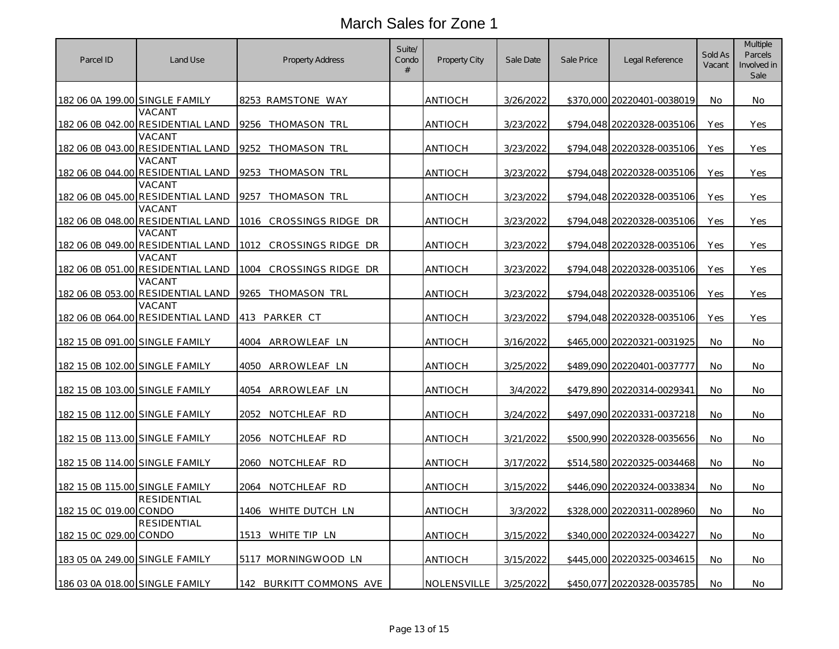| Parcel ID                      | Land Use                                    | Property Address            | Suite/<br>Condo<br>$\#$ | Property City  | Sale Date | Sale Price | Legal Reference            | Sold As<br>Vacant | <b>Multiple</b><br>Parcels<br>Involved in<br>Sale |
|--------------------------------|---------------------------------------------|-----------------------------|-------------------------|----------------|-----------|------------|----------------------------|-------------------|---------------------------------------------------|
| 182 06 0A 199.00 SINGLE FAMILY |                                             | 8253 RAMSTONE WAY           |                         | ANTIOCH        | 3/26/2022 |            | \$370,000 20220401-0038019 | No                | No                                                |
|                                | VACANT<br>182 06 0B 042.00 RESIDENTIAL LAND | 9256 THOMASON TRL           |                         | ANTIOCH        | 3/23/2022 |            | \$794,048 20220328-0035106 | Yes               | Yes                                               |
|                                | VACANT<br>182 06 0B 043.00 RESIDENTIAL LAND | 9252<br>THOMASON TRL        |                         | <b>ANTIOCH</b> | 3/23/2022 |            | \$794,048 20220328-0035106 | Yes               | Yes                                               |
|                                | VACANT<br>182 06 0B 044.00 RESIDENTIAL LAND | 9253<br>THOMASON TRL        |                         | ANTIOCH        | 3/23/2022 |            | \$794,048 20220328-0035106 | Yes               | Yes                                               |
|                                | VACANT<br>182 06 0B 045.00 RESIDENTIAL LAND | 9257 THOMASON TRL           |                         | ANTIOCH        | 3/23/2022 |            | \$794,048 20220328-0035106 | Yes               | Yes                                               |
|                                | VACANT<br>182 06 0B 048.00 RESIDENTIAL LAND | 1016 CROSSINGS RIDGE DR     |                         | ANTIOCH        | 3/23/2022 |            | \$794,048 20220328-0035106 | Yes               | Yes                                               |
|                                | VACANT<br>182 06 0B 049.00 RESIDENTIAL LAND | CROSSINGS RIDGE DR<br>1012  |                         | ANTIOCH        | 3/23/2022 |            | \$794,048 20220328-0035106 | Yes               | Yes                                               |
|                                | VACANT<br>182 06 0B 051.00 RESIDENTIAL LAND | CROSSINGS RIDGE DR<br>1004  |                         | ANTIOCH        | 3/23/2022 |            | \$794,048 20220328-0035106 | Yes               | Yes                                               |
|                                | VACANT<br>182 06 0B 053.00 RESIDENTIAL LAND | 9265<br>THOMASON TRL        |                         | ANTIOCH        | 3/23/2022 |            | \$794,048 20220328-0035106 | Yes               | Yes                                               |
|                                | VACANT<br>182 06 0B 064.00 RESIDENTIAL LAND | 413 PARKER CT               |                         | ANTIOCH        | 3/23/2022 |            | \$794,048 20220328-0035106 | Yes               | Yes                                               |
| 182 15 0B 091.00 SINGLE FAMILY |                                             | 4004<br>ARROWLEAF LN        |                         | ANTIOCH        | 3/16/2022 |            | \$465,000 20220321-0031925 | No.               | No                                                |
| 182 15 0B 102.00 SINGLE FAMILY |                                             | 4050<br><u>ARROWLEAF LN</u> |                         | ANTIOCH        | 3/25/2022 |            | \$489,090 20220401-0037777 | No                | No                                                |
| 182 15 0B 103.00 SINGLE FAMILY |                                             | 4054 ARROWLEAF LN           |                         | ANTIOCH        | 3/4/2022  |            | \$479,890 20220314-0029341 | No                | No                                                |
| 182 15 0B 112.00 SINGLE FAMILY |                                             | 2052<br>NOTCHLEAF RD        |                         | ANTIOCH        | 3/24/2022 |            | \$497,090 20220331-0037218 | No                | No                                                |
| 182 15 0B 113.00 SINGLE FAMILY |                                             | 2056 NOTCHLEAF RD           |                         | ANTIOCH        | 3/21/2022 |            | \$500,990 20220328-0035656 | No                | No.                                               |
| 182 15 0B 114.00 SINGLE FAMILY |                                             | 2060 NOTCHLEAF RD           |                         | ANTIOCH        | 3/17/2022 |            | \$514,580 20220325-0034468 | No                | No                                                |
| 182 15 0B 115.00 SINGLE FAMILY | <b>RESIDENTIAL</b>                          | 2064<br>NOTCHLEAF RD        |                         | ANTIOCH        | 3/15/2022 |            | \$446,090 20220324-0033834 | No                | No                                                |
| 182 15 0C 019.00 CONDO         | <b>RESIDENTIAL</b>                          | 1406 WHITE DUTCH LN         |                         | ANTIOCH        | 3/3/2022  |            | \$328,000 20220311-0028960 | No                | No                                                |
| 182 15 0C 029.00 CONDO         |                                             | 1513 WHITE TIP LN           |                         | ANTIOCH        | 3/15/2022 |            | \$340,000 20220324-0034227 | No                | No                                                |
| 183 05 0A 249.00 SINGLE FAMILY |                                             | 5117 MORNINGWOOD LN         |                         | ANTIOCH        | 3/15/2022 |            | \$445,000 20220325-0034615 | No                | No                                                |
| 186 03 0A 018.00 SINGLE FAMILY |                                             | 142<br>BURKITT COMMONS AVE  |                         | NOLENSVILLE    | 3/25/2022 |            | \$450,077 20220328-0035785 | No                | No                                                |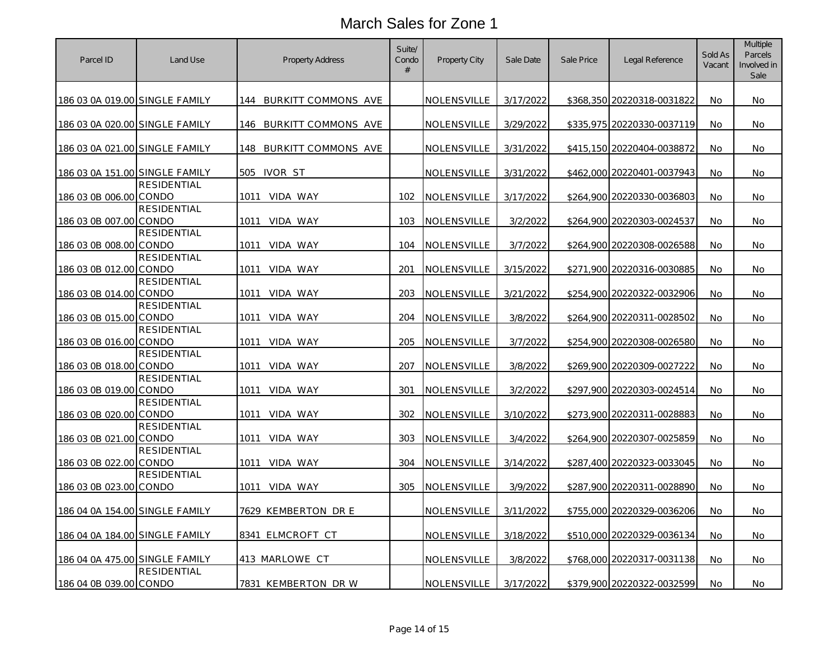| 3/17/2022<br>186 03 0A 019.00 SINGLE FAMILY<br>144 BURKITT COMMONS AVE<br>NOLENSVILLE<br>\$368,350 20220318-0031822<br>No<br>No<br>3/29/2022<br>186 03 0A 020.00 SINGLE FAMILY<br>BURKITT COMMONS AVE<br>NOLENSVILLE<br>\$335,975 20220330-0037119<br>No<br>146<br>No<br>186 03 0A 021.00 SINGLE FAMILY<br>BURKITT COMMONS AVE<br>NOLENSVILLE<br>3/31/2022<br>\$415,150 20220404-0038872<br>148<br>No<br>No<br>186 03 0A 151.00 SINGLE FAMILY<br>505 IVOR ST<br>NOLENSVILLE<br>3/31/2022<br>\$462,000 20220401-0037943<br>No<br>No<br><b>RESIDENTIAL</b><br>186 03 0B 006.00 CONDO<br>1011 VIDA WAY<br>102<br>NOLENSVILLE<br>3/17/2022<br>\$264,900 20220330-0036803<br>No<br>No<br><b>RESIDENTIAL</b><br>186 03 0B 007.00 CONDO<br>103<br>NOLENSVILLE<br>3/2/2022<br>\$264,900 20220303-0024537<br>1011<br>VIDA WAY<br>No<br>No<br><b>RESIDENTIAL</b><br>186 03 0B 008.00 CONDO<br>104<br>NOLENSVILLE<br>3/7/2022<br>\$264,900 20220308-0026588<br>No.<br>No.<br>1011<br>VIDA WAY<br><b>RESIDENTIAL</b><br>186 03 0B 012.00 CONDO<br>1011<br>VIDA WAY<br>201<br>NOLENSVILLE<br>3/15/2022<br>\$271,900 20220316-0030885<br><b>No</b><br>No<br><b>RESIDENTIAL</b><br>186 03 0B 014.00 CONDO<br>203<br>NOLENSVILLE<br>3/21/2022<br>\$254,900 20220322-0032906<br>1011<br>VIDA WAY<br>No<br>No.<br><b>RESIDENTIAL</b><br>186 03 0B 015.00 CONDO<br>3/8/2022<br>1011<br>VIDA WAY<br>204<br>NOLENSVILLE<br>\$264,900 20220311-0028502<br>No<br>No<br>RESIDENTIAL<br>186 03 0B 016.00 CONDO<br>205<br>NOLENSVILLE<br>3/7/2022<br>\$254,900 20220308-0026580<br>No.<br>1011<br>VIDA WAY<br>No.<br><b>RESIDENTIAL</b><br>186 03 0B 018.00 CONDO<br>207<br>NOLENSVILLE<br>3/8/2022<br>1011<br>VIDA WAY<br>\$269,900 20220309-0027222<br>No<br>No<br><b>RESIDENTIAL</b><br>186 03 0B 019.00 CONDO<br>301<br>3/2/2022<br>1011<br>VIDA WAY<br>NOLENSVILLE<br>\$297,900 20220303-0024514<br>No<br>No<br><b>RESIDENTIAL</b><br>186 03 0B 020.00 CONDO<br>302<br>1011<br>NOLENSVILLE<br>3/10/2022<br>\$273,900 20220311-0028883<br>VIDA WAY<br>No<br>No<br><b>RESIDENTIAL</b><br>186 03 0B 021.00 CONDO<br>303<br>3/4/2022<br>1011<br>VIDA WAY<br>NOLENSVILLE<br>\$264,900 20220307-0025859<br>No<br>No.<br><b>RESIDENTIAL</b><br>186 03 0B 022.00 CONDO<br>1011 VIDA WAY<br>304<br>3/14/2022<br>NOLENSVILLE<br>\$287,400 20220323-0033045<br>No<br>No<br><b>RESIDENTIAL</b><br>3/9/2022<br>186 03 0B 023.00 CONDO<br>305<br>NOLENSVILLE<br>\$287,900 20220311-0028890<br>No<br>1011<br>VIDA WAY<br>No<br><u>186 04 0A 154.00 SINGLE FAMILY</u><br>7629 KEMBERTON DR E<br>NOLENSVILLE<br>3/11/2022<br>\$755,000 20220329-0036206<br>No<br>No<br>186 04 0A 184.00 SINGLE FAMILY<br>8341 ELMCROFT CT<br>NOLENSVILLE<br>3/18/2022<br>\$510,000 20220329-0036134<br><b>No</b><br>No<br>186 04 0A 475.00 SINGLE FAMILY<br>413 MARLOWE CT<br>NOLENSVILLE<br>3/8/2022<br>\$768,000 20220317-0031138<br>No.<br>No.<br><b>RESIDENTIAL</b><br>\$379,900 20220322-0032599<br>186 04 0B 039.00 CONDO<br>7831 KEMBERTON DR W<br>NOLENSVILLE<br>3/17/2022<br>No<br>No | Parcel ID | Land Use | <b>Property Address</b> | Suite/<br>Condo<br>$\#$ | <b>Property City</b> | Sale Date | Sale Price | Legal Reference | Sold As<br>Vacant | Multiple<br>Parcels<br>Involved in<br>Sale |
|------------------------------------------------------------------------------------------------------------------------------------------------------------------------------------------------------------------------------------------------------------------------------------------------------------------------------------------------------------------------------------------------------------------------------------------------------------------------------------------------------------------------------------------------------------------------------------------------------------------------------------------------------------------------------------------------------------------------------------------------------------------------------------------------------------------------------------------------------------------------------------------------------------------------------------------------------------------------------------------------------------------------------------------------------------------------------------------------------------------------------------------------------------------------------------------------------------------------------------------------------------------------------------------------------------------------------------------------------------------------------------------------------------------------------------------------------------------------------------------------------------------------------------------------------------------------------------------------------------------------------------------------------------------------------------------------------------------------------------------------------------------------------------------------------------------------------------------------------------------------------------------------------------------------------------------------------------------------------------------------------------------------------------------------------------------------------------------------------------------------------------------------------------------------------------------------------------------------------------------------------------------------------------------------------------------------------------------------------------------------------------------------------------------------------------------------------------------------------------------------------------------------------------------------------------------------------------------------------------------------------------------------------------------------------------------------------------------------------------------------------------------------------------------------------------------------------------------------------------------------------------------------------------------------------------------------------------------------------------------------------------------------------------------|-----------|----------|-------------------------|-------------------------|----------------------|-----------|------------|-----------------|-------------------|--------------------------------------------|
|                                                                                                                                                                                                                                                                                                                                                                                                                                                                                                                                                                                                                                                                                                                                                                                                                                                                                                                                                                                                                                                                                                                                                                                                                                                                                                                                                                                                                                                                                                                                                                                                                                                                                                                                                                                                                                                                                                                                                                                                                                                                                                                                                                                                                                                                                                                                                                                                                                                                                                                                                                                                                                                                                                                                                                                                                                                                                                                                                                                                                                          |           |          |                         |                         |                      |           |            |                 |                   |                                            |
|                                                                                                                                                                                                                                                                                                                                                                                                                                                                                                                                                                                                                                                                                                                                                                                                                                                                                                                                                                                                                                                                                                                                                                                                                                                                                                                                                                                                                                                                                                                                                                                                                                                                                                                                                                                                                                                                                                                                                                                                                                                                                                                                                                                                                                                                                                                                                                                                                                                                                                                                                                                                                                                                                                                                                                                                                                                                                                                                                                                                                                          |           |          |                         |                         |                      |           |            |                 |                   |                                            |
|                                                                                                                                                                                                                                                                                                                                                                                                                                                                                                                                                                                                                                                                                                                                                                                                                                                                                                                                                                                                                                                                                                                                                                                                                                                                                                                                                                                                                                                                                                                                                                                                                                                                                                                                                                                                                                                                                                                                                                                                                                                                                                                                                                                                                                                                                                                                                                                                                                                                                                                                                                                                                                                                                                                                                                                                                                                                                                                                                                                                                                          |           |          |                         |                         |                      |           |            |                 |                   |                                            |
|                                                                                                                                                                                                                                                                                                                                                                                                                                                                                                                                                                                                                                                                                                                                                                                                                                                                                                                                                                                                                                                                                                                                                                                                                                                                                                                                                                                                                                                                                                                                                                                                                                                                                                                                                                                                                                                                                                                                                                                                                                                                                                                                                                                                                                                                                                                                                                                                                                                                                                                                                                                                                                                                                                                                                                                                                                                                                                                                                                                                                                          |           |          |                         |                         |                      |           |            |                 |                   |                                            |
|                                                                                                                                                                                                                                                                                                                                                                                                                                                                                                                                                                                                                                                                                                                                                                                                                                                                                                                                                                                                                                                                                                                                                                                                                                                                                                                                                                                                                                                                                                                                                                                                                                                                                                                                                                                                                                                                                                                                                                                                                                                                                                                                                                                                                                                                                                                                                                                                                                                                                                                                                                                                                                                                                                                                                                                                                                                                                                                                                                                                                                          |           |          |                         |                         |                      |           |            |                 |                   |                                            |
|                                                                                                                                                                                                                                                                                                                                                                                                                                                                                                                                                                                                                                                                                                                                                                                                                                                                                                                                                                                                                                                                                                                                                                                                                                                                                                                                                                                                                                                                                                                                                                                                                                                                                                                                                                                                                                                                                                                                                                                                                                                                                                                                                                                                                                                                                                                                                                                                                                                                                                                                                                                                                                                                                                                                                                                                                                                                                                                                                                                                                                          |           |          |                         |                         |                      |           |            |                 |                   |                                            |
|                                                                                                                                                                                                                                                                                                                                                                                                                                                                                                                                                                                                                                                                                                                                                                                                                                                                                                                                                                                                                                                                                                                                                                                                                                                                                                                                                                                                                                                                                                                                                                                                                                                                                                                                                                                                                                                                                                                                                                                                                                                                                                                                                                                                                                                                                                                                                                                                                                                                                                                                                                                                                                                                                                                                                                                                                                                                                                                                                                                                                                          |           |          |                         |                         |                      |           |            |                 |                   |                                            |
|                                                                                                                                                                                                                                                                                                                                                                                                                                                                                                                                                                                                                                                                                                                                                                                                                                                                                                                                                                                                                                                                                                                                                                                                                                                                                                                                                                                                                                                                                                                                                                                                                                                                                                                                                                                                                                                                                                                                                                                                                                                                                                                                                                                                                                                                                                                                                                                                                                                                                                                                                                                                                                                                                                                                                                                                                                                                                                                                                                                                                                          |           |          |                         |                         |                      |           |            |                 |                   |                                            |
|                                                                                                                                                                                                                                                                                                                                                                                                                                                                                                                                                                                                                                                                                                                                                                                                                                                                                                                                                                                                                                                                                                                                                                                                                                                                                                                                                                                                                                                                                                                                                                                                                                                                                                                                                                                                                                                                                                                                                                                                                                                                                                                                                                                                                                                                                                                                                                                                                                                                                                                                                                                                                                                                                                                                                                                                                                                                                                                                                                                                                                          |           |          |                         |                         |                      |           |            |                 |                   |                                            |
|                                                                                                                                                                                                                                                                                                                                                                                                                                                                                                                                                                                                                                                                                                                                                                                                                                                                                                                                                                                                                                                                                                                                                                                                                                                                                                                                                                                                                                                                                                                                                                                                                                                                                                                                                                                                                                                                                                                                                                                                                                                                                                                                                                                                                                                                                                                                                                                                                                                                                                                                                                                                                                                                                                                                                                                                                                                                                                                                                                                                                                          |           |          |                         |                         |                      |           |            |                 |                   |                                            |
|                                                                                                                                                                                                                                                                                                                                                                                                                                                                                                                                                                                                                                                                                                                                                                                                                                                                                                                                                                                                                                                                                                                                                                                                                                                                                                                                                                                                                                                                                                                                                                                                                                                                                                                                                                                                                                                                                                                                                                                                                                                                                                                                                                                                                                                                                                                                                                                                                                                                                                                                                                                                                                                                                                                                                                                                                                                                                                                                                                                                                                          |           |          |                         |                         |                      |           |            |                 |                   |                                            |
|                                                                                                                                                                                                                                                                                                                                                                                                                                                                                                                                                                                                                                                                                                                                                                                                                                                                                                                                                                                                                                                                                                                                                                                                                                                                                                                                                                                                                                                                                                                                                                                                                                                                                                                                                                                                                                                                                                                                                                                                                                                                                                                                                                                                                                                                                                                                                                                                                                                                                                                                                                                                                                                                                                                                                                                                                                                                                                                                                                                                                                          |           |          |                         |                         |                      |           |            |                 |                   |                                            |
|                                                                                                                                                                                                                                                                                                                                                                                                                                                                                                                                                                                                                                                                                                                                                                                                                                                                                                                                                                                                                                                                                                                                                                                                                                                                                                                                                                                                                                                                                                                                                                                                                                                                                                                                                                                                                                                                                                                                                                                                                                                                                                                                                                                                                                                                                                                                                                                                                                                                                                                                                                                                                                                                                                                                                                                                                                                                                                                                                                                                                                          |           |          |                         |                         |                      |           |            |                 |                   |                                            |
|                                                                                                                                                                                                                                                                                                                                                                                                                                                                                                                                                                                                                                                                                                                                                                                                                                                                                                                                                                                                                                                                                                                                                                                                                                                                                                                                                                                                                                                                                                                                                                                                                                                                                                                                                                                                                                                                                                                                                                                                                                                                                                                                                                                                                                                                                                                                                                                                                                                                                                                                                                                                                                                                                                                                                                                                                                                                                                                                                                                                                                          |           |          |                         |                         |                      |           |            |                 |                   |                                            |
|                                                                                                                                                                                                                                                                                                                                                                                                                                                                                                                                                                                                                                                                                                                                                                                                                                                                                                                                                                                                                                                                                                                                                                                                                                                                                                                                                                                                                                                                                                                                                                                                                                                                                                                                                                                                                                                                                                                                                                                                                                                                                                                                                                                                                                                                                                                                                                                                                                                                                                                                                                                                                                                                                                                                                                                                                                                                                                                                                                                                                                          |           |          |                         |                         |                      |           |            |                 |                   |                                            |
|                                                                                                                                                                                                                                                                                                                                                                                                                                                                                                                                                                                                                                                                                                                                                                                                                                                                                                                                                                                                                                                                                                                                                                                                                                                                                                                                                                                                                                                                                                                                                                                                                                                                                                                                                                                                                                                                                                                                                                                                                                                                                                                                                                                                                                                                                                                                                                                                                                                                                                                                                                                                                                                                                                                                                                                                                                                                                                                                                                                                                                          |           |          |                         |                         |                      |           |            |                 |                   |                                            |
|                                                                                                                                                                                                                                                                                                                                                                                                                                                                                                                                                                                                                                                                                                                                                                                                                                                                                                                                                                                                                                                                                                                                                                                                                                                                                                                                                                                                                                                                                                                                                                                                                                                                                                                                                                                                                                                                                                                                                                                                                                                                                                                                                                                                                                                                                                                                                                                                                                                                                                                                                                                                                                                                                                                                                                                                                                                                                                                                                                                                                                          |           |          |                         |                         |                      |           |            |                 |                   |                                            |
|                                                                                                                                                                                                                                                                                                                                                                                                                                                                                                                                                                                                                                                                                                                                                                                                                                                                                                                                                                                                                                                                                                                                                                                                                                                                                                                                                                                                                                                                                                                                                                                                                                                                                                                                                                                                                                                                                                                                                                                                                                                                                                                                                                                                                                                                                                                                                                                                                                                                                                                                                                                                                                                                                                                                                                                                                                                                                                                                                                                                                                          |           |          |                         |                         |                      |           |            |                 |                   |                                            |
|                                                                                                                                                                                                                                                                                                                                                                                                                                                                                                                                                                                                                                                                                                                                                                                                                                                                                                                                                                                                                                                                                                                                                                                                                                                                                                                                                                                                                                                                                                                                                                                                                                                                                                                                                                                                                                                                                                                                                                                                                                                                                                                                                                                                                                                                                                                                                                                                                                                                                                                                                                                                                                                                                                                                                                                                                                                                                                                                                                                                                                          |           |          |                         |                         |                      |           |            |                 |                   |                                            |
|                                                                                                                                                                                                                                                                                                                                                                                                                                                                                                                                                                                                                                                                                                                                                                                                                                                                                                                                                                                                                                                                                                                                                                                                                                                                                                                                                                                                                                                                                                                                                                                                                                                                                                                                                                                                                                                                                                                                                                                                                                                                                                                                                                                                                                                                                                                                                                                                                                                                                                                                                                                                                                                                                                                                                                                                                                                                                                                                                                                                                                          |           |          |                         |                         |                      |           |            |                 |                   |                                            |